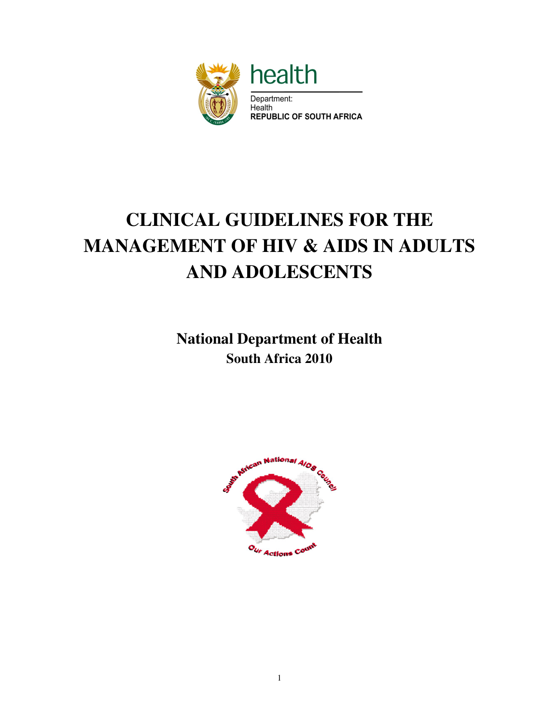

# **CLINICAL GUIDELINES FOR THE MANAGEMENT OF HIV & AIDS IN ADULTS AND ADOLESCENTS**

**National Department of Health South Africa 2010** 

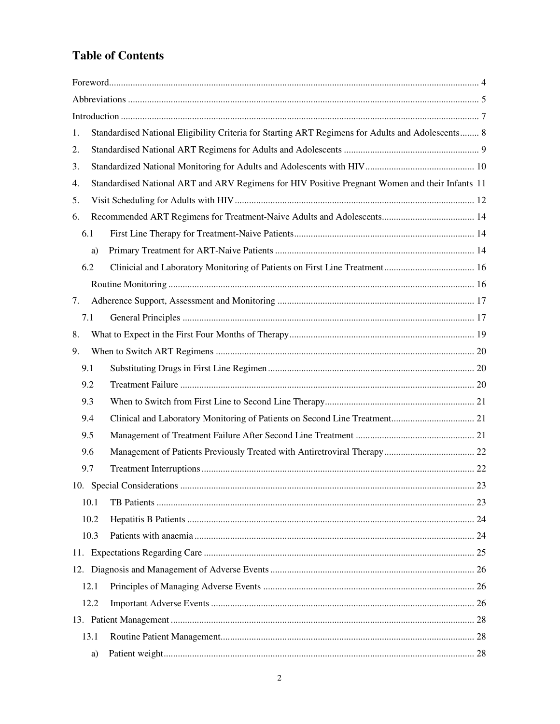# **Table of Contents**

| 1.   | Standardised National Eligibility Criteria for Starting ART Regimens for Adults and Adolescents 8 |                                                                                                 |  |  |
|------|---------------------------------------------------------------------------------------------------|-------------------------------------------------------------------------------------------------|--|--|
| 2.   |                                                                                                   |                                                                                                 |  |  |
| 3.   |                                                                                                   |                                                                                                 |  |  |
| 4.   |                                                                                                   | Standardised National ART and ARV Regimens for HIV Positive Pregnant Women and their Infants 11 |  |  |
| 5.   |                                                                                                   |                                                                                                 |  |  |
| 6.   |                                                                                                   |                                                                                                 |  |  |
| 6.1  |                                                                                                   |                                                                                                 |  |  |
|      | a)                                                                                                |                                                                                                 |  |  |
| 6.2  |                                                                                                   |                                                                                                 |  |  |
|      |                                                                                                   |                                                                                                 |  |  |
| 7.   |                                                                                                   |                                                                                                 |  |  |
| 7.1  |                                                                                                   |                                                                                                 |  |  |
| 8.   |                                                                                                   |                                                                                                 |  |  |
| 9.   |                                                                                                   |                                                                                                 |  |  |
| 9.1  |                                                                                                   |                                                                                                 |  |  |
| 9.2  |                                                                                                   |                                                                                                 |  |  |
| 9.3  |                                                                                                   |                                                                                                 |  |  |
| 9.4  |                                                                                                   |                                                                                                 |  |  |
| 9.5  |                                                                                                   |                                                                                                 |  |  |
| 9.6  |                                                                                                   |                                                                                                 |  |  |
| 9.7  |                                                                                                   |                                                                                                 |  |  |
|      |                                                                                                   |                                                                                                 |  |  |
|      | 10.1                                                                                              |                                                                                                 |  |  |
|      | 10.2                                                                                              |                                                                                                 |  |  |
|      | 10.3                                                                                              |                                                                                                 |  |  |
|      |                                                                                                   |                                                                                                 |  |  |
|      |                                                                                                   |                                                                                                 |  |  |
| 12.1 |                                                                                                   |                                                                                                 |  |  |
| 12.2 |                                                                                                   |                                                                                                 |  |  |
|      |                                                                                                   |                                                                                                 |  |  |
| 13.1 |                                                                                                   |                                                                                                 |  |  |
|      | a)                                                                                                |                                                                                                 |  |  |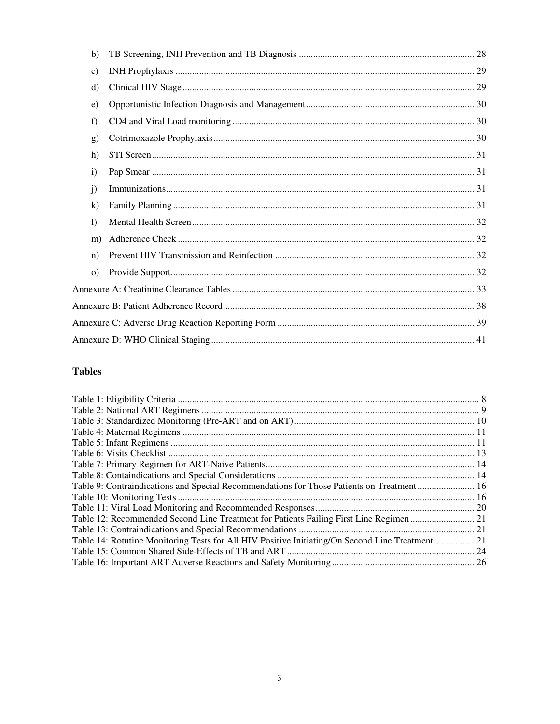| b)           |  |  |
|--------------|--|--|
| c)           |  |  |
| d)           |  |  |
| e)           |  |  |
| f)           |  |  |
| g)           |  |  |
| h)           |  |  |
| $\mathbf{i}$ |  |  |
| $\mathbf{j}$ |  |  |
| $\bf k)$     |  |  |
| $\mathbf{D}$ |  |  |
| m)           |  |  |
| n)           |  |  |
| $\Omega$     |  |  |
|              |  |  |
|              |  |  |
|              |  |  |
|              |  |  |

# **Tables**

| Table 9: Contraindications and Special Recommendations for Those Patients on Treatment 16       |
|-------------------------------------------------------------------------------------------------|
|                                                                                                 |
|                                                                                                 |
| Table 12: Recommended Second Line Treatment for Patients Failing First Line Regimen  21         |
|                                                                                                 |
| Table 14: Rotutine Monitoring Tests for All HIV Positive Initiating/On Second Line Treatment 21 |
|                                                                                                 |
|                                                                                                 |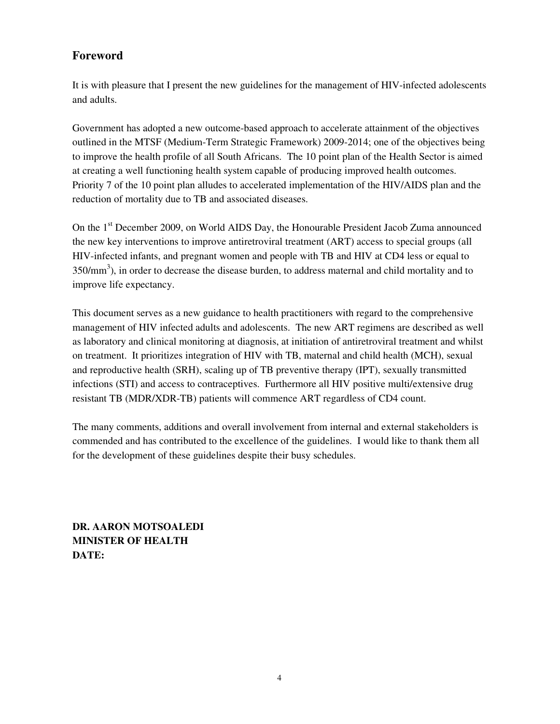# **Foreword**

It is with pleasure that I present the new guidelines for the management of HIV-infected adolescents and adults.

Government has adopted a new outcome-based approach to accelerate attainment of the objectives outlined in the MTSF (Medium-Term Strategic Framework) 2009-2014; one of the objectives being to improve the health profile of all South Africans. The 10 point plan of the Health Sector is aimed at creating a well functioning health system capable of producing improved health outcomes. Priority 7 of the 10 point plan alludes to accelerated implementation of the HIV/AIDS plan and the reduction of mortality due to TB and associated diseases.

On the 1<sup>st</sup> December 2009, on World AIDS Day, the Honourable President Jacob Zuma announced the new key interventions to improve antiretroviral treatment (ART) access to special groups (all HIV-infected infants, and pregnant women and people with TB and HIV at CD4 less or equal to  $350/\text{mm}^3$ ), in order to decrease the disease burden, to address maternal and child mortality and to improve life expectancy.

This document serves as a new guidance to health practitioners with regard to the comprehensive management of HIV infected adults and adolescents. The new ART regimens are described as well as laboratory and clinical monitoring at diagnosis, at initiation of antiretroviral treatment and whilst on treatment. It prioritizes integration of HIV with TB, maternal and child health (MCH), sexual and reproductive health (SRH), scaling up of TB preventive therapy (IPT), sexually transmitted infections (STI) and access to contraceptives. Furthermore all HIV positive multi/extensive drug resistant TB (MDR/XDR-TB) patients will commence ART regardless of CD4 count.

The many comments, additions and overall involvement from internal and external stakeholders is commended and has contributed to the excellence of the guidelines. I would like to thank them all for the development of these guidelines despite their busy schedules.

**DR. AARON MOTSOALEDI MINISTER OF HEALTH DATE:**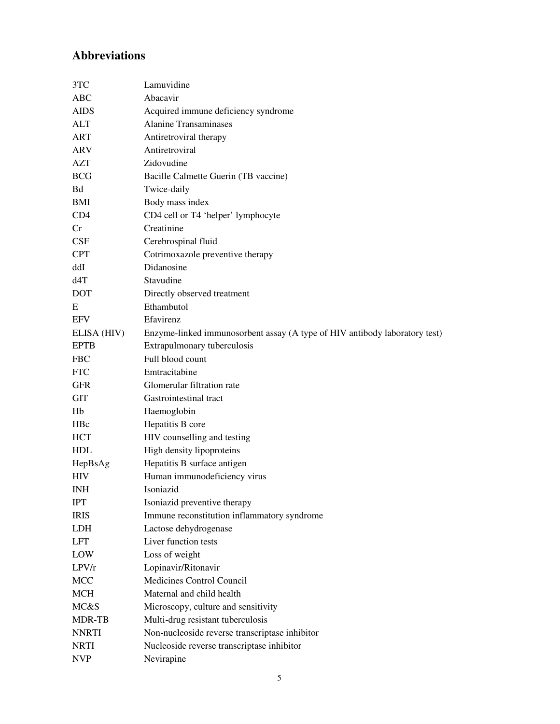# **Abbreviations**

| 3TC          | Lamuvidine                                                                 |
|--------------|----------------------------------------------------------------------------|
| ABC          | Abacavir                                                                   |
| <b>AIDS</b>  | Acquired immune deficiency syndrome                                        |
| ALT          | <b>Alanine Transaminases</b>                                               |
| <b>ART</b>   | Antiretroviral therapy                                                     |
| ARV          | Antiretroviral                                                             |
| AZT          | Zidovudine                                                                 |
| <b>BCG</b>   | Bacille Calmette Guerin (TB vaccine)                                       |
| Bd           | Twice-daily                                                                |
| BMI          | Body mass index                                                            |
| CD4          | CD4 cell or T4 'helper' lymphocyte                                         |
| Cr           | Creatinine                                                                 |
| CSF          | Cerebrospinal fluid                                                        |
| <b>CPT</b>   | Cotrimoxazole preventive therapy                                           |
| ddI          | Didanosine                                                                 |
| d4T          | Stavudine                                                                  |
| <b>DOT</b>   | Directly observed treatment                                                |
| E            | Ethambutol                                                                 |
| <b>EFV</b>   | Efavirenz                                                                  |
| ELISA (HIV)  | Enzyme-linked immunosorbent assay (A type of HIV antibody laboratory test) |
| <b>EPTB</b>  | Extrapulmonary tuberculosis                                                |
| <b>FBC</b>   | Full blood count                                                           |
| <b>FTC</b>   | Emtracitabine                                                              |
| <b>GFR</b>   | Glomerular filtration rate                                                 |
| <b>GIT</b>   | Gastrointestinal tract                                                     |
| Hb           | Haemoglobin                                                                |
| HBc          | Hepatitis B core                                                           |
| <b>HCT</b>   | HIV counselling and testing                                                |
| <b>HDL</b>   | High density lipoproteins                                                  |
| HepBsAg      | Hepatitis B surface antigen                                                |
| <b>HIV</b>   | Human immunodeficiency virus                                               |
| <b>INH</b>   | Isoniazid                                                                  |
| <b>IPT</b>   | Isoniazid preventive therapy                                               |
| <b>IRIS</b>  | Immune reconstitution inflammatory syndrome                                |
| <b>LDH</b>   | Lactose dehydrogenase                                                      |
| <b>LFT</b>   | Liver function tests                                                       |
| LOW          | Loss of weight                                                             |
| LPV/r        | Lopinavir/Ritonavir                                                        |
| MCC          | Medicines Control Council                                                  |
| <b>MCH</b>   | Maternal and child health                                                  |
| MC&S         | Microscopy, culture and sensitivity                                        |
| MDR-TB       | Multi-drug resistant tuberculosis                                          |
| <b>NNRTI</b> | Non-nucleoside reverse transcriptase inhibitor                             |
| <b>NRTI</b>  | Nucleoside reverse transcriptase inhibitor                                 |
| <b>NVP</b>   | Nevirapine                                                                 |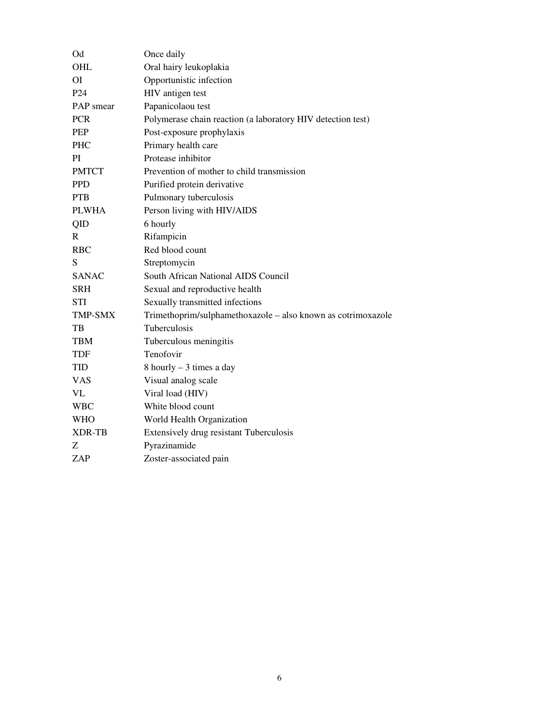| Od               | Once daily                                                   |
|------------------|--------------------------------------------------------------|
| OHL              | Oral hairy leukoplakia                                       |
| <b>OI</b>        | Opportunistic infection                                      |
| P <sub>24</sub>  | HIV antigen test                                             |
| <b>PAP</b> smear | Papanicolaou test                                            |
| <b>PCR</b>       | Polymerase chain reaction (a laboratory HIV detection test)  |
| <b>PEP</b>       | Post-exposure prophylaxis                                    |
| <b>PHC</b>       | Primary health care                                          |
| PI               | Protease inhibitor                                           |
| <b>PMTCT</b>     | Prevention of mother to child transmission                   |
| <b>PPD</b>       | Purified protein derivative                                  |
| <b>PTB</b>       | Pulmonary tuberculosis                                       |
| <b>PLWHA</b>     | Person living with HIV/AIDS                                  |
| QID              | 6 hourly                                                     |
| R                | Rifampicin                                                   |
| <b>RBC</b>       | Red blood count                                              |
| S                | Streptomycin                                                 |
| <b>SANAC</b>     | South African National AIDS Council                          |
| SRH              | Sexual and reproductive health                               |
| <b>STI</b>       | Sexually transmitted infections                              |
| <b>TMP-SMX</b>   | Trimethoprim/sulphamethoxazole - also known as cotrimoxazole |
| TB               | Tuberculosis                                                 |
| <b>TBM</b>       | Tuberculous meningitis                                       |
| TDF              | Tenofovir                                                    |
| <b>TID</b>       | 8 hourly - 3 times a day                                     |
| <b>VAS</b>       | Visual analog scale                                          |
| VL               | Viral load (HIV)                                             |
| <b>WBC</b>       | White blood count                                            |
| <b>WHO</b>       | World Health Organization                                    |
| <b>XDR-TB</b>    | Extensively drug resistant Tuberculosis                      |
| Z                | Pyrazinamide                                                 |
| ZAP              | Zoster-associated pain                                       |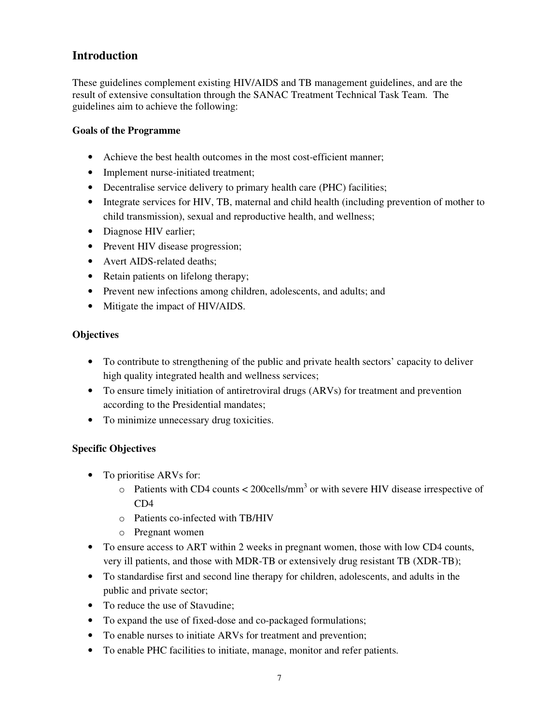# **Introduction**

These guidelines complement existing HIV/AIDS and TB management guidelines, and are the result of extensive consultation through the SANAC Treatment Technical Task Team. The guidelines aim to achieve the following:

### **Goals of the Programme**

- Achieve the best health outcomes in the most cost-efficient manner:
- Implement nurse-initiated treatment;
- Decentralise service delivery to primary health care (PHC) facilities;
- Integrate services for HIV, TB, maternal and child health (including prevention of mother to child transmission), sexual and reproductive health, and wellness;
- Diagnose HIV earlier;
- Prevent HIV disease progression;
- Avert AIDS-related deaths;
- Retain patients on lifelong therapy;
- Prevent new infections among children, adolescents, and adults; and
- Mitigate the impact of HIV/AIDS.

### **Objectives**

- To contribute to strengthening of the public and private health sectors' capacity to deliver high quality integrated health and wellness services;
- To ensure timely initiation of antiretroviral drugs (ARVs) for treatment and prevention according to the Presidential mandates;
- To minimize unnecessary drug toxicities.

# **Specific Objectives**

- To prioritise ARVs for:
	- $\circ$  Patients with CD4 counts < 200cells/mm<sup>3</sup> or with severe HIV disease irrespective of CD4
	- o Patients co-infected with TB/HIV
	- o Pregnant women
- To ensure access to ART within 2 weeks in pregnant women, those with low CD4 counts, very ill patients, and those with MDR-TB or extensively drug resistant TB (XDR-TB);
- To standardise first and second line therapy for children, adolescents, and adults in the public and private sector;
- To reduce the use of Stavudine;
- To expand the use of fixed-dose and co-packaged formulations;
- To enable nurses to initiate ARVs for treatment and prevention;
- To enable PHC facilities to initiate, manage, monitor and refer patients.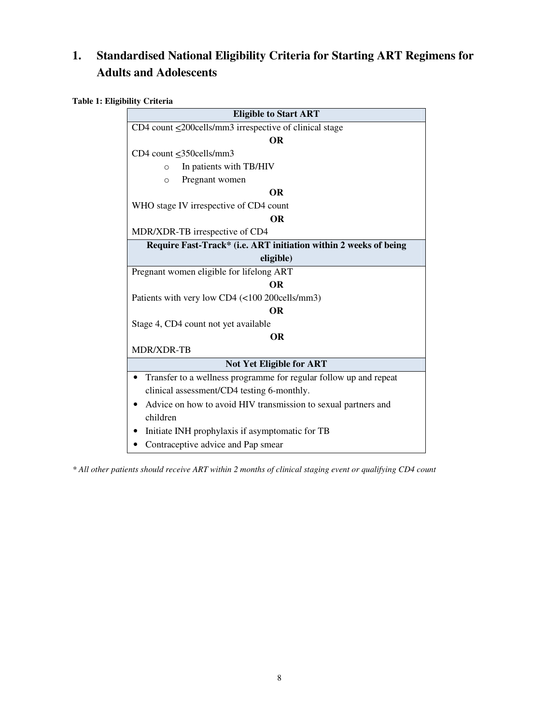# **1. Standardised National Eligibility Criteria for Starting ART Regimens for Adults and Adolescents**

**Table 1: Eligibility Criteria** 

| <b>Eligible to Start ART</b>                                      |  |  |
|-------------------------------------------------------------------|--|--|
| CD4 count $\leq$ 200cells/mm3 irrespective of clinical stage      |  |  |
| <b>OR</b>                                                         |  |  |
| CD4 count <350cells/mm3                                           |  |  |
| In patients with TB/HIV<br>$\Omega$                               |  |  |
| Pregnant women<br>$\circ$                                         |  |  |
| <b>OR</b>                                                         |  |  |
| WHO stage IV irrespective of CD4 count                            |  |  |
| <b>OR</b>                                                         |  |  |
| MDR/XDR-TB irrespective of CD4                                    |  |  |
| Require Fast-Track* (i.e. ART initiation within 2 weeks of being  |  |  |
| eligible)                                                         |  |  |
| Pregnant women eligible for lifelong ART                          |  |  |
| <b>OR</b>                                                         |  |  |
| Patients with very low CD4 (<100 200cells/mm3)                    |  |  |
| <b>OR</b>                                                         |  |  |
| Stage 4, CD4 count not yet available                              |  |  |
| <b>OR</b>                                                         |  |  |
| MDR/XDR-TB                                                        |  |  |
| <b>Not Yet Eligible for ART</b>                                   |  |  |
| Transfer to a wellness programme for regular follow up and repeat |  |  |
| clinical assessment/CD4 testing 6-monthly.                        |  |  |
| Advice on how to avoid HIV transmission to sexual partners and    |  |  |
| children                                                          |  |  |
| Initiate INH prophylaxis if asymptomatic for TB                   |  |  |
| Contraceptive advice and Pap smear                                |  |  |

*\* All other patients should receive ART within 2 months of clinical staging event or qualifying CD4 count*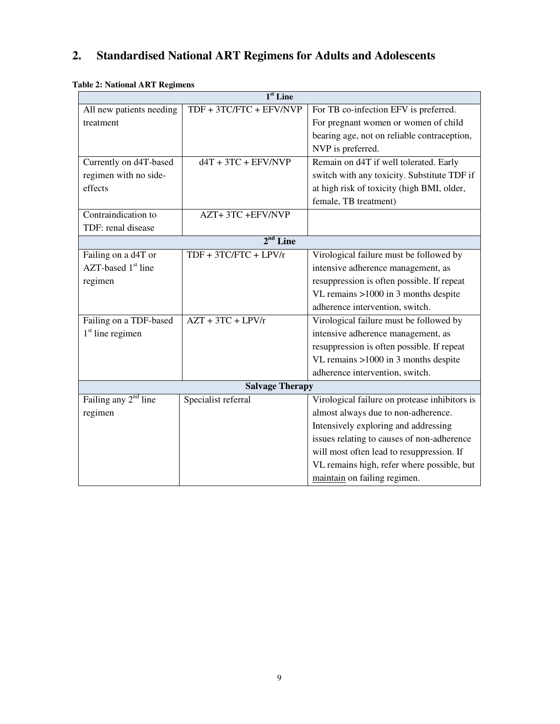# **2. Standardised National ART Regimens for Adults and Adolescents**

| $1st$ Line               |                         |                                               |  |
|--------------------------|-------------------------|-----------------------------------------------|--|
| All new patients needing | TDF + 3TC/FTC + EFV/NVP | For TB co-infection EFV is preferred.         |  |
| treatment                |                         | For pregnant women or women of child          |  |
|                          |                         | bearing age, not on reliable contraception,   |  |
|                          |                         | NVP is preferred.                             |  |
| Currently on d4T-based   | $dAT + 3TC + EFV/NVP$   | Remain on d4T if well tolerated. Early        |  |
| regimen with no side-    |                         | switch with any toxicity. Substitute TDF if   |  |
| effects                  |                         | at high risk of toxicity (high BMI, older,    |  |
|                          |                         | female, TB treatment)                         |  |
| Contraindication to      | AZT+3TC+EFV/NVP         |                                               |  |
| TDF: renal disease       |                         |                                               |  |
|                          | $2nd$ Line              |                                               |  |
| Failing on a d4T or      | $TDF + 3TC/FTC + LPV/r$ | Virological failure must be followed by       |  |
| $AZT$ -based $1st$ line  |                         | intensive adherence management, as            |  |
| regimen                  |                         | resuppression is often possible. If repeat    |  |
|                          |                         | VL remains >1000 in 3 months despite          |  |
|                          |                         | adherence intervention, switch.               |  |
| Failing on a TDF-based   | $AZT + 3TC + LPV/r$     | Virological failure must be followed by       |  |
| $1st$ line regimen       |                         | intensive adherence management, as            |  |
|                          |                         | resuppression is often possible. If repeat    |  |
|                          |                         | VL remains >1000 in 3 months despite          |  |
|                          |                         | adherence intervention, switch.               |  |
|                          | <b>Salvage Therapy</b>  |                                               |  |
| Failing any $2nd$ line   | Specialist referral     | Virological failure on protease inhibitors is |  |
| regimen                  |                         | almost always due to non-adherence.           |  |
|                          |                         | Intensively exploring and addressing          |  |
|                          |                         | issues relating to causes of non-adherence    |  |
|                          |                         | will most often lead to resuppression. If     |  |
|                          |                         | VL remains high, refer where possible, but    |  |
|                          |                         | maintain on failing regimen.                  |  |

# **Table 2: National ART Regimens**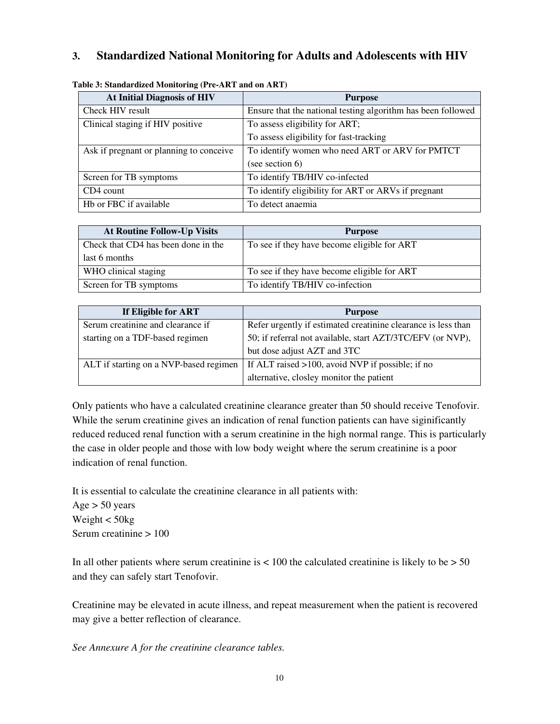# **3. Standardized National Monitoring for Adults and Adolescents with HIV**

| <b>At Initial Diagnosis of HIV</b>      | <b>Purpose</b>                                               |
|-----------------------------------------|--------------------------------------------------------------|
| Check HIV result                        | Ensure that the national testing algorithm has been followed |
| Clinical staging if HIV positive        | To assess eligibility for ART;                               |
|                                         | To assess eligibility for fast-tracking                      |
| Ask if pregnant or planning to conceive | To identify women who need ART or ARV for PMTCT              |
|                                         | (see section $6$ )                                           |
| Screen for TB symptoms                  | To identify TB/HIV co-infected                               |
| CD4 count                               | To identify eligibility for ART or ARVs if pregnant          |
| Hb or FBC if available                  | To detect anaemia                                            |

#### **Table 3: Standardized Monitoring (Pre-ART and on ART)**

| <b>At Routine Follow-Up Visits</b>  | <b>Purpose</b>                              |
|-------------------------------------|---------------------------------------------|
| Check that CD4 has been done in the | To see if they have become eligible for ART |
| last 6 months                       |                                             |
| WHO clinical staging                | To see if they have become eligible for ART |
| Screen for TB symptoms              | To identify TB/HIV co-infection             |

| If Eligible for ART                    | <b>Purpose</b>                                                |
|----------------------------------------|---------------------------------------------------------------|
| Serum creatinine and clearance if      | Refer urgently if estimated creatinine clearance is less than |
| starting on a TDF-based regimen        | 50; if referral not available, start AZT/3TC/EFV (or NVP),    |
|                                        | but dose adjust AZT and 3TC                                   |
| ALT if starting on a NVP-based regimen | If ALT raised >100, avoid NVP if possible; if no              |
|                                        | alternative, closley monitor the patient                      |

Only patients who have a calculated creatinine clearance greater than 50 should receive Tenofovir. While the serum creatinine gives an indication of renal function patients can have siginificantly reduced reduced renal function with a serum creatinine in the high normal range. This is particularly the case in older people and those with low body weight where the serum creatinine is a poor indication of renal function.

It is essential to calculate the creatinine clearance in all patients with: Age  $> 50$  years Weight < 50kg Serum creatinine > 100

In all other patients where serum creatinine is  $< 100$  the calculated creatinine is likely to be  $> 50$ and they can safely start Tenofovir.

Creatinine may be elevated in acute illness, and repeat measurement when the patient is recovered may give a better reflection of clearance.

*See Annexure A for the creatinine clearance tables.*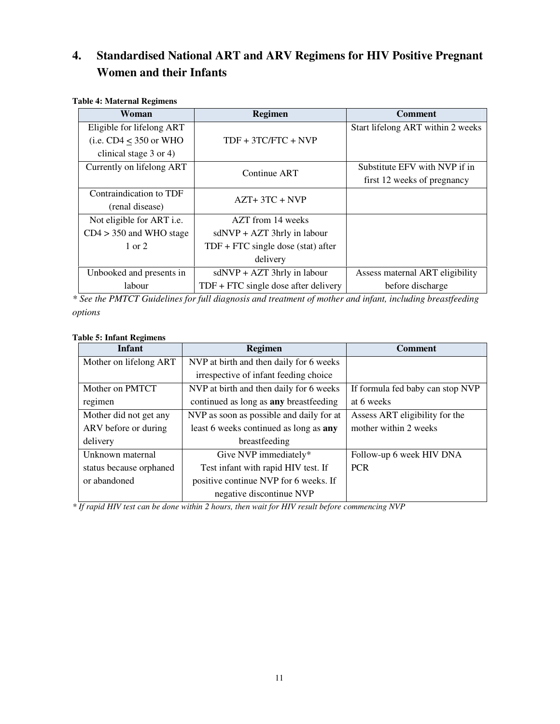# **4. Standardised National ART and ARV Regimens for HIV Positive Pregnant Women and their Infants**

| Woman                            | <b>Regimen</b>                         | <b>Comment</b>                    |
|----------------------------------|----------------------------------------|-----------------------------------|
| Eligible for lifelong ART        |                                        | Start lifelong ART within 2 weeks |
| (i.e. $CD4 \leq 350$ or WHO      | $TDF + 3TC/FTC + NVP$                  |                                   |
| clinical stage $3$ or $4$ )      |                                        |                                   |
| Currently on lifelong ART        | Continue ART                           | Substitute EFV with NVP if in     |
|                                  |                                        | first 12 weeks of pregnancy       |
| Contraindication to TDF          | $AZT+3TC+NVP$                          |                                   |
| (renal disease)                  |                                        |                                   |
| Not eligible for ART <i>i.e.</i> | AZT from 14 weeks                      |                                   |
| $CD4 > 350$ and WHO stage        | $sdNVP + AZT$ 3hrly in labour          |                                   |
| $1 \text{ or } 2$                | $TDF + FTC$ single dose (stat) after   |                                   |
|                                  | delivery                               |                                   |
| Unbooked and presents in         | $sdNVP + AZT$ 3hrly in labour          | Assess maternal ART eligibility   |
| labour                           | $TDF + FTC$ single dose after delivery | before discharge                  |

#### **Table 4: Maternal Regimens**

*\* See the PMTCT Guidelines for full diagnosis and treatment of mother and infant, including breastfeeding options* 

#### **Table 5: Infant Regimens**

| Infant                  | Regimen                                       | <b>Comment</b>                   |
|-------------------------|-----------------------------------------------|----------------------------------|
| Mother on lifelong ART  | NVP at birth and then daily for 6 weeks       |                                  |
|                         | irrespective of infant feeding choice         |                                  |
| Mother on PMTCT         | NVP at birth and then daily for 6 weeks       | If formula fed baby can stop NVP |
| regimen                 | continued as long as <b>any</b> breastfeeding | at 6 weeks                       |
| Mother did not get any  | NVP as soon as possible and daily for at      | Assess ART eligibility for the   |
| ARV before or during    | least 6 weeks continued as long as any        | mother within 2 weeks            |
| delivery                | breastfeeding                                 |                                  |
| Unknown maternal        | Give NVP immediately*                         | Follow-up 6 week HIV DNA         |
| status because orphaned | Test infant with rapid HIV test. If           | <b>PCR</b>                       |
| or abandoned            | positive continue NVP for 6 weeks. If         |                                  |
|                         | negative discontinue NVP                      |                                  |

*\* If rapid HIV test can be done within 2 hours, then wait for HIV result before commencing NVP*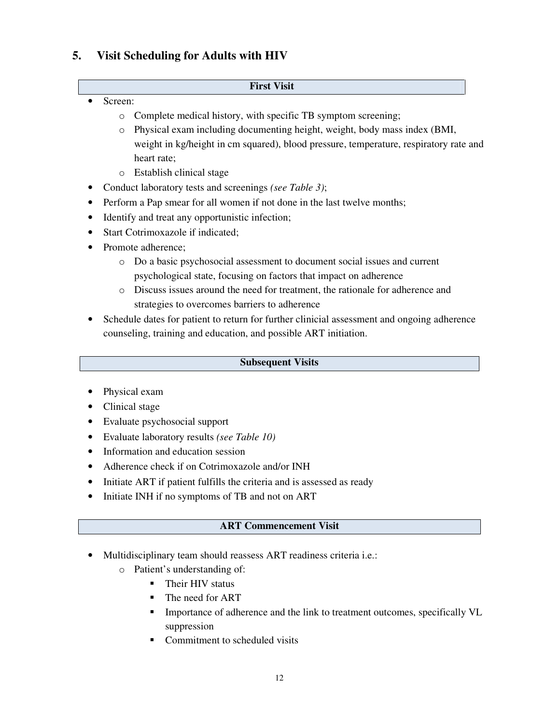# **5. Visit Scheduling for Adults with HIV**

#### **First Visit**

- Screen:
	- o Complete medical history, with specific TB symptom screening;
	- o Physical exam including documenting height, weight, body mass index (BMI, weight in kg/height in cm squared), blood pressure, temperature, respiratory rate and heart rate;
	- o Establish clinical stage
- Conduct laboratory tests and screenings *(see Table 3)*;
- Perform a Pap smear for all women if not done in the last twelve months;
- Identify and treat any opportunistic infection;
- Start Cotrimoxazole if indicated;
- Promote adherence;
	- o Do a basic psychosocial assessment to document social issues and current psychological state, focusing on factors that impact on adherence
	- o Discuss issues around the need for treatment, the rationale for adherence and strategies to overcomes barriers to adherence
- Schedule dates for patient to return for further clinicial assessment and ongoing adherence counseling, training and education, and possible ART initiation.

#### **Subsequent Visits**

- Physical exam
- Clinical stage
- Evaluate psychosocial support
- Evaluate laboratory results *(see Table 10)*
- Information and education session
- Adherence check if on Cotrimoxazole and/or INH
- Initiate ART if patient fulfills the criteria and is assessed as ready
- Initiate INH if no symptoms of TB and not on ART

# **ART Commencement Visit**

- Multidisciplinary team should reassess ART readiness criteria i.e.:
	- o Patient's understanding of:
		- **Their HIV status**
		- The need for ART
		- Importance of adherence and the link to treatment outcomes, specifically VL suppression
		- Commitment to scheduled visits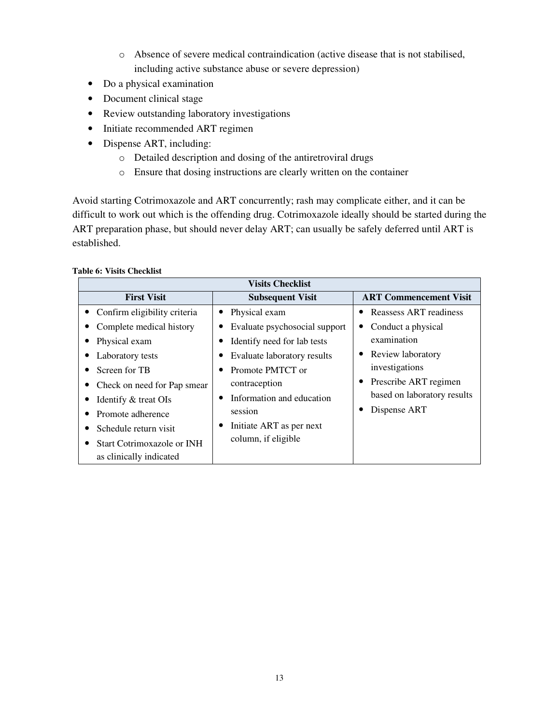- o Absence of severe medical contraindication (active disease that is not stabilised, including active substance abuse or severe depression)
- Do a physical examination
- Document clinical stage
- Review outstanding laboratory investigations
- Initiate recommended ART regimen
- Dispense ART, including:
	- o Detailed description and dosing of the antiretroviral drugs
	- o Ensure that dosing instructions are clearly written on the container

Avoid starting Cotrimoxazole and ART concurrently; rash may complicate either, and it can be difficult to work out which is the offending drug. Cotrimoxazole ideally should be started during the ART preparation phase, but should never delay ART; can usually be safely deferred until ART is established.

#### **Table 6: Visits Checklist**

| <b>Visits Checklist</b>           |                               |                               |  |
|-----------------------------------|-------------------------------|-------------------------------|--|
| <b>First Visit</b>                | <b>Subsequent Visit</b>       | <b>ART Commencement Visit</b> |  |
| • Confirm eligibility criteria    | Physical exam                 | Reassess ART readiness        |  |
| Complete medical history          | Evaluate psychosocial support | Conduct a physical            |  |
| Physical exam                     | Identify need for lab tests   | examination                   |  |
| Laboratory tests                  | Evaluate laboratory results   | Review laboratory             |  |
| Screen for TB                     | Promote PMTCT or              | investigations                |  |
| Check on need for Pap smear       | contraception                 | Prescribe ART regimen         |  |
| Identify & treat OIs              | Information and education     | based on laboratory results   |  |
| Promote adherence                 | session                       | Dispense ART                  |  |
| Schedule return visit             | Initiate ART as per next      |                               |  |
| <b>Start Cotrimoxazole or INH</b> | column, if eligible           |                               |  |
| as clinically indicated           |                               |                               |  |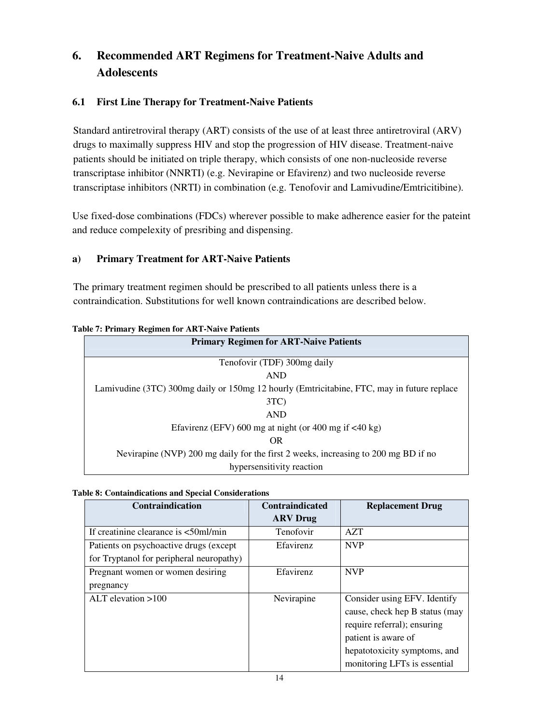# **6. Recommended ART Regimens for Treatment-Naive Adults and Adolescents**

# **6.1 First Line Therapy for Treatment-Naive Patients**

Standard antiretroviral therapy (ART) consists of the use of at least three antiretroviral (ARV) drugs to maximally suppress HIV and stop the progression of HIV disease. Treatment-naive patients should be initiated on triple therapy, which consists of one non-nucleoside reverse transcriptase inhibitor (NNRTI) (e.g. Nevirapine or Efavirenz) and two nucleoside reverse transcriptase inhibitors (NRTI) in combination (e.g. Tenofovir and Lamivudine/Emtricitibine).

Use fixed-dose combinations (FDCs) wherever possible to make adherence easier for the pateint and reduce compelexity of presribing and dispensing.

# **a) Primary Treatment for ART-Naive Patients**

The primary treatment regimen should be prescribed to all patients unless there is a contraindication. Substitutions for well known contraindications are described below.

| ле 7. 1 гипагу кединен гог такт-таатте 1 апения                                            |  |  |  |
|--------------------------------------------------------------------------------------------|--|--|--|
| <b>Primary Regimen for ART-Naive Patients</b>                                              |  |  |  |
| Tenofovir (TDF) 300mg daily                                                                |  |  |  |
|                                                                                            |  |  |  |
| <b>AND</b>                                                                                 |  |  |  |
| Lamivudine (3TC) 300mg daily or 150mg 12 hourly (Emtricitabine, FTC, may in future replace |  |  |  |
| 3TC                                                                                        |  |  |  |
| <b>AND</b>                                                                                 |  |  |  |
| Efavirenz (EFV) 600 mg at night (or 400 mg if $\langle 40 \text{ kg} \rangle$              |  |  |  |
| OR.                                                                                        |  |  |  |
| Nevirapine (NVP) 200 mg daily for the first 2 weeks, increasing to 200 mg BD if no         |  |  |  |
| hypersensitivity reaction                                                                  |  |  |  |

#### **Table 7: Primary Regimen for ART-Naive Patients**

#### **Table 8: Containdications and Special Considerations**

| <b>Contraindication</b>                                               | <b>Contraindicated</b> | <b>Replacement Drug</b>        |
|-----------------------------------------------------------------------|------------------------|--------------------------------|
|                                                                       | <b>ARV</b> Drug        |                                |
| If creatinine clearance is $\langle 50 \text{m} 1/\text{min} \rangle$ | Tenofovir              | <b>AZT</b>                     |
| Patients on psychoactive drugs (except                                | Efavirenz              | <b>NVP</b>                     |
| for Tryptanol for peripheral neuropathy)                              |                        |                                |
| Pregnant women or women desiring                                      | Efavirenz              | <b>NVP</b>                     |
| pregnancy                                                             |                        |                                |
| ALT elevation $>100$                                                  | Nevirapine             | Consider using EFV. Identify   |
|                                                                       |                        | cause, check hep B status (may |
|                                                                       |                        | require referral); ensuring    |
|                                                                       |                        | patient is aware of            |
|                                                                       |                        | hepatotoxicity symptoms, and   |
|                                                                       |                        | monitoring LFTs is essential   |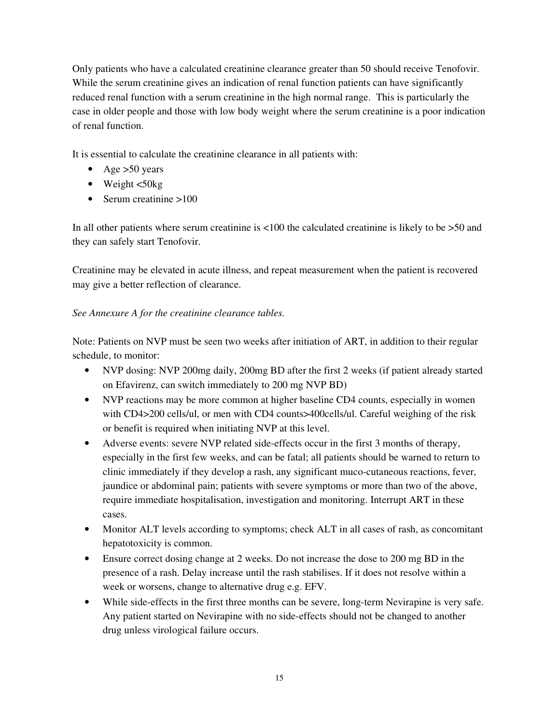Only patients who have a calculated creatinine clearance greater than 50 should receive Tenofovir. While the serum creatinine gives an indication of renal function patients can have significantly reduced renal function with a serum creatinine in the high normal range. This is particularly the case in older people and those with low body weight where the serum creatinine is a poor indication of renal function.

It is essential to calculate the creatinine clearance in all patients with:

- Age  $>50$  years
- Weight  $\lt$ 50kg
- Serum creatinine  $>100$

In all other patients where serum creatinine is  $\langle 100 \rangle$  the calculated creatinine is likely to be  $> 50$  and they can safely start Tenofovir.

Creatinine may be elevated in acute illness, and repeat measurement when the patient is recovered may give a better reflection of clearance.

### *See Annexure A for the creatinine clearance tables.*

Note: Patients on NVP must be seen two weeks after initiation of ART, in addition to their regular schedule, to monitor:

- NVP dosing: NVP 200mg daily, 200mg BD after the first 2 weeks (if patient already started on Efavirenz, can switch immediately to 200 mg NVP BD)
- NVP reactions may be more common at higher baseline CD4 counts, especially in women with CD4>200 cells/ul, or men with CD4 counts>400cells/ul. Careful weighing of the risk or benefit is required when initiating NVP at this level.
- Adverse events: severe NVP related side-effects occur in the first 3 months of therapy, especially in the first few weeks, and can be fatal; all patients should be warned to return to clinic immediately if they develop a rash, any significant muco-cutaneous reactions, fever, jaundice or abdominal pain; patients with severe symptoms or more than two of the above, require immediate hospitalisation, investigation and monitoring. Interrupt ART in these cases.
- Monitor ALT levels according to symptoms; check ALT in all cases of rash, as concomitant hepatotoxicity is common.
- Ensure correct dosing change at 2 weeks. Do not increase the dose to 200 mg BD in the presence of a rash. Delay increase until the rash stabilises. If it does not resolve within a week or worsens, change to alternative drug e.g. EFV.
- While side-effects in the first three months can be severe, long-term Nevirapine is very safe. Any patient started on Nevirapine with no side-effects should not be changed to another drug unless virological failure occurs.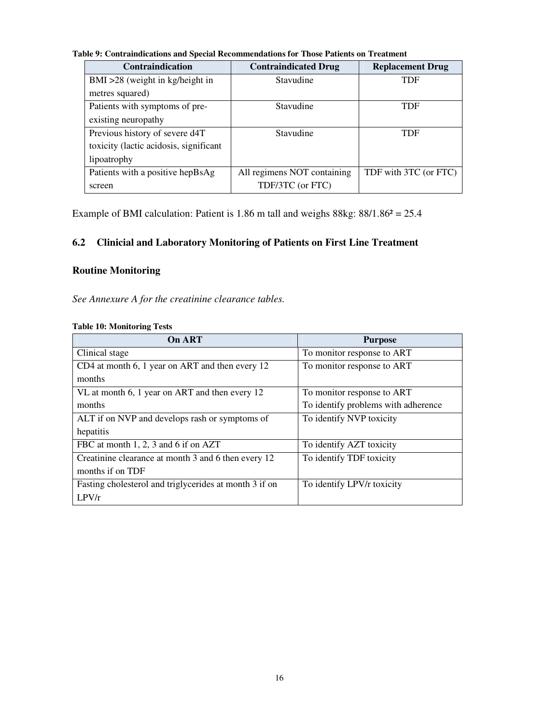**Table 9: Contraindications and Special Recommendations for Those Patients on Treatment**

| <b>Contraindication</b>                | <b>Contraindicated Drug</b> | <b>Replacement Drug</b> |
|----------------------------------------|-----------------------------|-------------------------|
| $BMI > 28$ (weight in kg/height in     | Stavudine                   | <b>TDF</b>              |
| metres squared)                        |                             |                         |
| Patients with symptoms of pre-         | Stavudine                   | <b>TDF</b>              |
| existing neuropathy                    |                             |                         |
| Previous history of severe d4T         | Stavudine                   | <b>TDF</b>              |
| toxicity (lactic acidosis, significant |                             |                         |
| lipoatrophy                            |                             |                         |
| Patients with a positive hepBsAg       | All regimens NOT containing | TDF with 3TC (or FTC)   |
| screen                                 | TDF/3TC (or FTC)            |                         |

Example of BMI calculation: Patient is  $1.86$  m tall and weighs  $88kg: 88/1.86<sup>2</sup> = 25.4$ 

# **6.2 Clinicial and Laboratory Monitoring of Patients on First Line Treatment**

# **Routine Monitoring**

*See Annexure A for the creatinine clearance tables.*

| <b>On ART</b>                                          | <b>Purpose</b>                      |  |
|--------------------------------------------------------|-------------------------------------|--|
| Clinical stage                                         | To monitor response to ART          |  |
| CD4 at month 6, 1 year on ART and then every 12        | To monitor response to ART          |  |
| months                                                 |                                     |  |
| VL at month 6, 1 year on ART and then every 12         | To monitor response to ART          |  |
| months                                                 | To identify problems with adherence |  |
| ALT if on NVP and develops rash or symptoms of         | To identify NVP toxicity            |  |
| hepatitis                                              |                                     |  |
| FBC at month 1, 2, 3 and 6 if on AZT                   | To identify AZT toxicity            |  |
| Creatinine clearance at month 3 and 6 then every 12    | To identify TDF toxicity            |  |
| months if on TDF                                       |                                     |  |
| Fasting cholesterol and triglycerides at month 3 if on | To identify LPV/r toxicity          |  |
| LPV/r                                                  |                                     |  |

#### **Table 10: Monitoring Tests**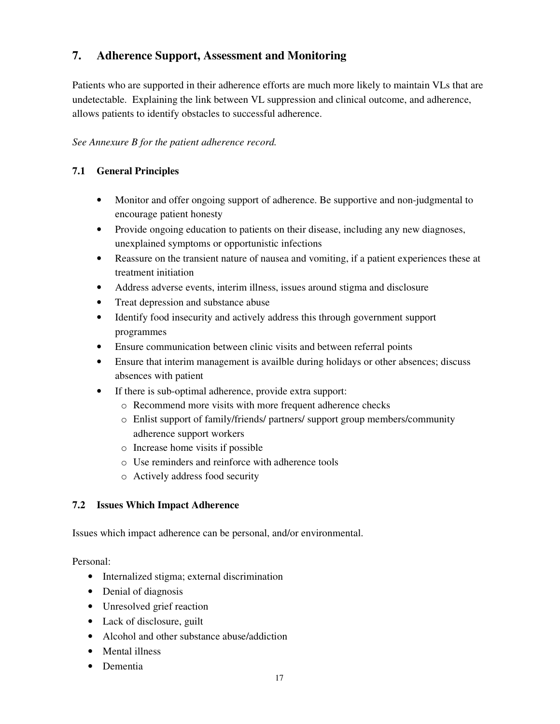# **7. Adherence Support, Assessment and Monitoring**

Patients who are supported in their adherence efforts are much more likely to maintain VLs that are undetectable. Explaining the link between VL suppression and clinical outcome, and adherence, allows patients to identify obstacles to successful adherence.

### *See Annexure B for the patient adherence record.*

# **7.1 General Principles**

- Monitor and offer ongoing support of adherence. Be supportive and non-judgmental to encourage patient honesty
- Provide ongoing education to patients on their disease, including any new diagnoses, unexplained symptoms or opportunistic infections
- Reassure on the transient nature of nausea and vomiting, if a patient experiences these at treatment initiation
- Address adverse events, interim illness, issues around stigma and disclosure
- Treat depression and substance abuse
- Identify food insecurity and actively address this through government support programmes
- Ensure communication between clinic visits and between referral points
- Ensure that interim management is availble during holidays or other absences; discuss absences with patient
- If there is sub-optimal adherence, provide extra support:
	- o Recommend more visits with more frequent adherence checks
	- o Enlist support of family/friends/ partners/ support group members/community adherence support workers
	- o Increase home visits if possible
	- o Use reminders and reinforce with adherence tools
	- o Actively address food security

### **7.2 Issues Which Impact Adherence**

Issues which impact adherence can be personal, and/or environmental.

Personal:

- Internalized stigma; external discrimination
- Denial of diagnosis
- Unresolved grief reaction
- Lack of disclosure, guilt
- Alcohol and other substance abuse/addiction
- Mental illness
- Dementia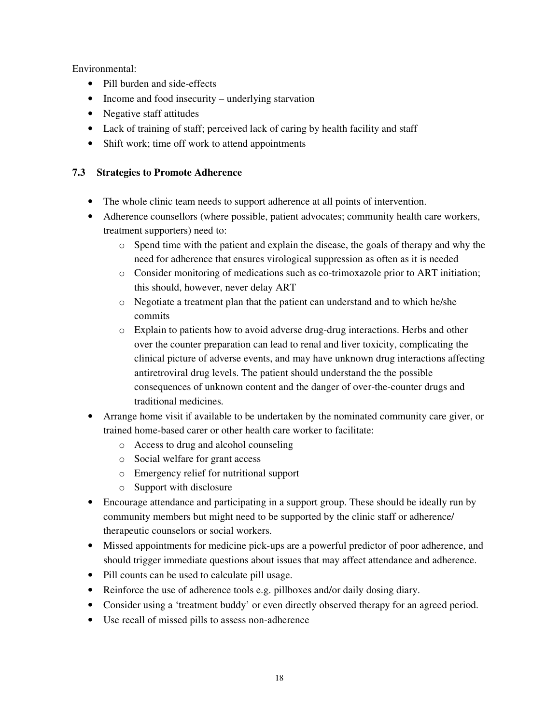Environmental:

- Pill burden and side-effects
- Income and food insecurity underlying starvation
- Negative staff attitudes
- Lack of training of staff; perceived lack of caring by health facility and staff
- Shift work; time off work to attend appointments

# **7.3 Strategies to Promote Adherence**

- The whole clinic team needs to support adherence at all points of intervention.
- Adherence counsellors (where possible, patient advocates; community health care workers, treatment supporters) need to:
	- o Spend time with the patient and explain the disease, the goals of therapy and why the need for adherence that ensures virological suppression as often as it is needed
	- o Consider monitoring of medications such as co-trimoxazole prior to ART initiation; this should, however, never delay ART
	- o Negotiate a treatment plan that the patient can understand and to which he/she commits
	- o Explain to patients how to avoid adverse drug-drug interactions. Herbs and other over the counter preparation can lead to renal and liver toxicity, complicating the clinical picture of adverse events, and may have unknown drug interactions affecting antiretroviral drug levels. The patient should understand the the possible consequences of unknown content and the danger of over-the-counter drugs and traditional medicines.
- Arrange home visit if available to be undertaken by the nominated community care giver, or trained home-based carer or other health care worker to facilitate:
	- o Access to drug and alcohol counseling
	- o Social welfare for grant access
	- o Emergency relief for nutritional support
	- o Support with disclosure
- Encourage attendance and participating in a support group. These should be ideally run by community members but might need to be supported by the clinic staff or adherence/ therapeutic counselors or social workers.
- Missed appointments for medicine pick-ups are a powerful predictor of poor adherence, and should trigger immediate questions about issues that may affect attendance and adherence.
- Pill counts can be used to calculate pill usage.
- Reinforce the use of adherence tools e.g. pillboxes and/or daily dosing diary.
- Consider using a 'treatment buddy' or even directly observed therapy for an agreed period.
- Use recall of missed pills to assess non-adherence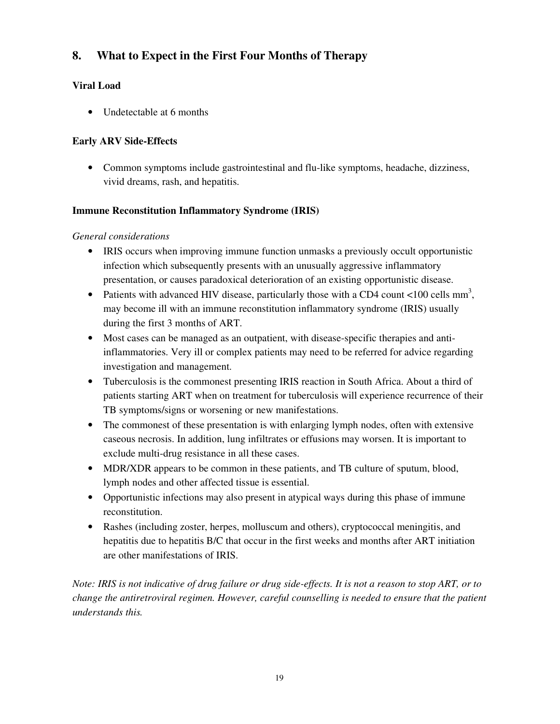# **8. What to Expect in the First Four Months of Therapy**

# **Viral Load**

• Undetectable at 6 months

# **Early ARV Side-Effects**

• Common symptoms include gastrointestinal and flu-like symptoms, headache, dizziness, vivid dreams, rash, and hepatitis.

# **Immune Reconstitution Inflammatory Syndrome (IRIS)**

# *General considerations*

- IRIS occurs when improving immune function unmasks a previously occult opportunistic infection which subsequently presents with an unusually aggressive inflammatory presentation, or causes paradoxical deterioration of an existing opportunistic disease.
- Patients with advanced HIV disease, particularly those with a CD4 count  $\langle 100 \text{ cells mm}^3 \rangle$ , may become ill with an immune reconstitution inflammatory syndrome (IRIS) usually during the first 3 months of ART.
- Most cases can be managed as an outpatient, with disease-specific therapies and antiinflammatories. Very ill or complex patients may need to be referred for advice regarding investigation and management.
- Tuberculosis is the commonest presenting IRIS reaction in South Africa. About a third of patients starting ART when on treatment for tuberculosis will experience recurrence of their TB symptoms/signs or worsening or new manifestations.
- The commonest of these presentation is with enlarging lymph nodes, often with extensive caseous necrosis. In addition, lung infiltrates or effusions may worsen. It is important to exclude multi-drug resistance in all these cases.
- MDR/XDR appears to be common in these patients, and TB culture of sputum, blood, lymph nodes and other affected tissue is essential.
- Opportunistic infections may also present in atypical ways during this phase of immune reconstitution.
- Rashes (including zoster, herpes, molluscum and others), cryptococcal meningitis, and hepatitis due to hepatitis B/C that occur in the first weeks and months after ART initiation are other manifestations of IRIS.

*Note: IRIS is not indicative of drug failure or drug side-effects. It is not a reason to stop ART, or to change the antiretroviral regimen. However, careful counselling is needed to ensure that the patient understands this.*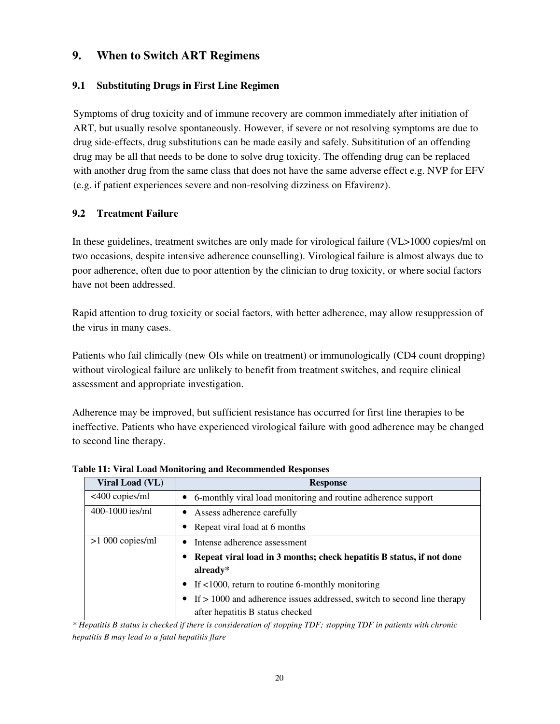# **9. When to Switch ART Regimens**

### **9.1 Substituting Drugs in First Line Regimen**

Symptoms of drug toxicity and of immune recovery are common immediately after initiation of ART, but usually resolve spontaneously. However, if severe or not resolving symptoms are due to drug side-effects, drug substitutions can be made easily and safely. Subsititution of an offending drug may be all that needs to be done to solve drug toxicity. The offending drug can be replaced with another drug from the same class that does not have the same adverse effect e.g. NVP for EFV (e.g. if patient experiences severe and non-resolving dizziness on Efavirenz).

### **9.2 Treatment Failure**

In these guidelines, treatment switches are only made for virological failure (VL>1000 copies/ml on two occasions, despite intensive adherence counselling). Virological failure is almost always due to poor adherence, often due to poor attention by the clinician to drug toxicity, or where social factors have not been addressed.

Rapid attention to drug toxicity or social factors, with better adherence, may allow resuppression of the virus in many cases.

Patients who fail clinically (new OIs while on treatment) or immunologically (CD4 count dropping) without virological failure are unlikely to benefit from treatment switches, and require clinical assessment and appropriate investigation.

Adherence may be improved, but sufficient resistance has occurred for first line therapies to be ineffective. Patients who have experienced virological failure with good adherence may be changed to second line therapy.

| Viral Load (VL)   | <b>Response</b>                                                           |
|-------------------|---------------------------------------------------------------------------|
| <400 copies/ml    | • 6-monthly viral load monitoring and routine adherence support           |
| 400-1000 ies/ml   | • Assess adherence carefully                                              |
|                   | Repeat viral load at 6 months<br>$\bullet$                                |
| $>1000$ copies/ml | Intense adherence assessment<br>٠                                         |
|                   | Repeat viral load in 3 months; check hepatitis B status, if not done      |
|                   | already $*$                                                               |
|                   | • If $<1000$ , return to routine 6-monthly monitoring                     |
|                   | • If > 1000 and adherence issues addressed, switch to second line therapy |
|                   | after hepatitis B status checked                                          |

**Table 11: Viral Load Monitoring and Recommended Responses**

*\* Hepatitis B status is checked if there is consideration of stopping TDF; stopping TDF in patients with chronic hepatitis B may lead to a fatal hepatitis flare*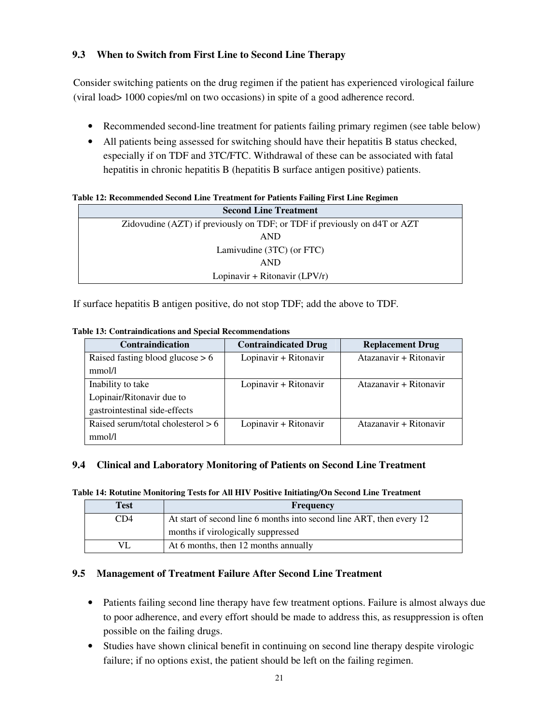# **9.3 When to Switch from First Line to Second Line Therapy**

Consider switching patients on the drug regimen if the patient has experienced virological failure (viral load> 1000 copies/ml on two occasions) in spite of a good adherence record.

- Recommended second-line treatment for patients failing primary regimen (see table below)
- All patients being assessed for switching should have their hepatitis B status checked, especially if on TDF and 3TC/FTC. Withdrawal of these can be associated with fatal hepatitis in chronic hepatitis B (hepatitis B surface antigen positive) patients.

**Table 12: Recommended Second Line Treatment for Patients Failing First Line Regimen** 

| <b>Second Line Treatment</b>                                              |  |  |
|---------------------------------------------------------------------------|--|--|
| Zidovudine (AZT) if previously on TDF; or TDF if previously on d4T or AZT |  |  |
| <b>AND</b>                                                                |  |  |
| Lamivudine $(3TC)$ (or FTC)                                               |  |  |
| <b>AND</b>                                                                |  |  |
| Lopinavir + Ritonavir $(LPV/r)$                                           |  |  |

If surface hepatitis B antigen positive, do not stop TDF; add the above to TDF.

| Contraindication                     | <b>Contraindicated Drug</b> | <b>Replacement Drug</b> |
|--------------------------------------|-----------------------------|-------------------------|
| Raised fasting blood glucose $> 6$   | Lopinavir + Ritonavir       | Atazanavir + Ritonavir  |
| mmol/l                               |                             |                         |
| Inability to take                    | Lopinavir + Ritonavir       | Atazanavir + Ritonavir  |
| Lopinair/Ritonavir due to            |                             |                         |
| gastrointestinal side-effects        |                             |                         |
| Raised serum/total cholesterol $> 6$ | Lopinavir + Ritonavir       | Atazanavir + Ritonavir  |
| mmol/l                               |                             |                         |

#### **Table 13: Contraindications and Special Recommendations**

### **9.4 Clinical and Laboratory Monitoring of Patients on Second Line Treatment**

**Table 14: Rotutine Monitoring Tests for All HIV Positive Initiating/On Second Line Treatment** 

| Test | <b>Frequency</b>                                                     |
|------|----------------------------------------------------------------------|
| CD4  | At start of second line 6 months into second line ART, then every 12 |
|      | months if virologically suppressed                                   |
|      | At 6 months, then 12 months annually                                 |

### **9.5 Management of Treatment Failure After Second Line Treatment**

- Patients failing second line therapy have few treatment options. Failure is almost always due to poor adherence, and every effort should be made to address this, as resuppression is often possible on the failing drugs.
- Studies have shown clinical benefit in continuing on second line therapy despite virologic failure; if no options exist, the patient should be left on the failing regimen.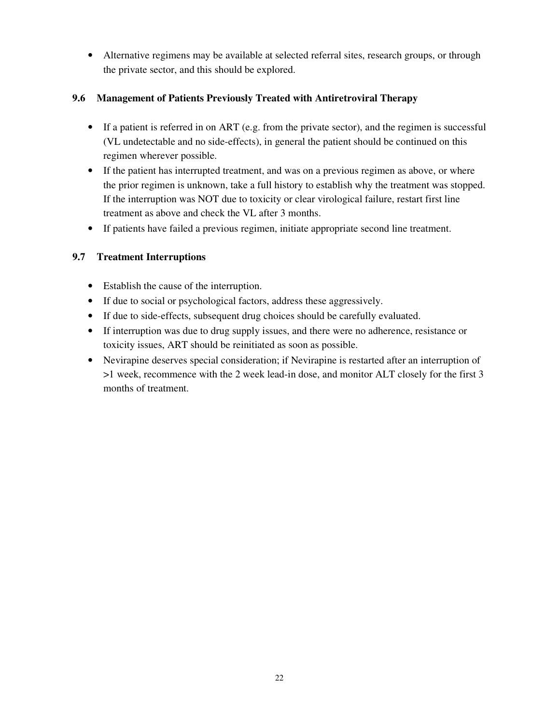• Alternative regimens may be available at selected referral sites, research groups, or through the private sector, and this should be explored.

# **9.6 Management of Patients Previously Treated with Antiretroviral Therapy**

- If a patient is referred in on ART (e.g. from the private sector), and the regimen is successful (VL undetectable and no side-effects), in general the patient should be continued on this regimen wherever possible.
- If the patient has interrupted treatment, and was on a previous regimen as above, or where the prior regimen is unknown, take a full history to establish why the treatment was stopped. If the interruption was NOT due to toxicity or clear virological failure, restart first line treatment as above and check the VL after 3 months.
- If patients have failed a previous regimen, initiate appropriate second line treatment.

# **9.7 Treatment Interruptions**

- Establish the cause of the interruption.
- If due to social or psychological factors, address these aggressively.
- If due to side-effects, subsequent drug choices should be carefully evaluated.
- If interruption was due to drug supply issues, and there were no adherence, resistance or toxicity issues, ART should be reinitiated as soon as possible.
- Nevirapine deserves special consideration; if Nevirapine is restarted after an interruption of >1 week, recommence with the 2 week lead-in dose, and monitor ALT closely for the first 3 months of treatment.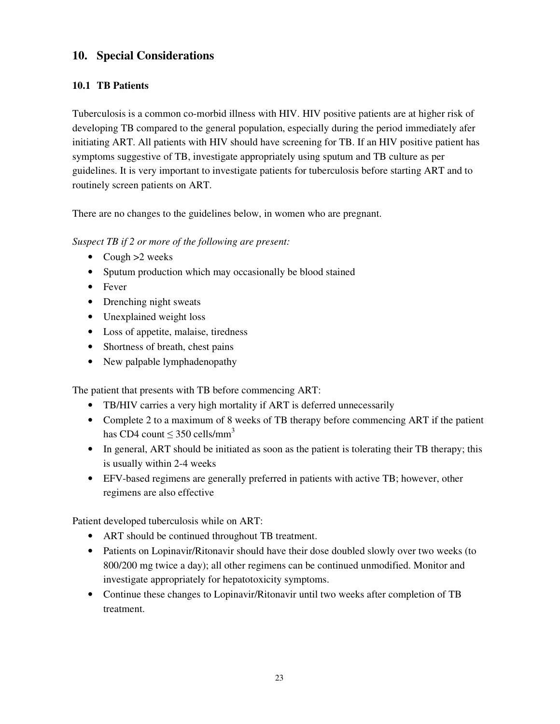# **10. Special Considerations**

# **10.1 TB Patients**

Tuberculosis is a common co-morbid illness with HIV. HIV positive patients are at higher risk of developing TB compared to the general population, especially during the period immediately afer initiating ART. All patients with HIV should have screening for TB. If an HIV positive patient has symptoms suggestive of TB, investigate appropriately using sputum and TB culture as per guidelines. It is very important to investigate patients for tuberculosis before starting ART and to routinely screen patients on ART.

There are no changes to the guidelines below, in women who are pregnant.

### *Suspect TB if 2 or more of the following are present:*

- Cough >2 weeks
- Sputum production which may occasionally be blood stained
- Fever
- Drenching night sweats
- Unexplained weight loss
- Loss of appetite, malaise, tiredness
- Shortness of breath, chest pains
- New palpable lymphadenopathy

The patient that presents with TB before commencing ART:

- TB/HIV carries a very high mortality if ART is deferred unnecessarily
- Complete 2 to a maximum of 8 weeks of TB therapy before commencing ART if the patient has CD4 count  $\leq$  350 cells/mm<sup>3</sup>
- In general, ART should be initiated as soon as the patient is tolerating their TB therapy; this is usually within 2-4 weeks
- EFV-based regimens are generally preferred in patients with active TB; however, other regimens are also effective

Patient developed tuberculosis while on ART:

- ART should be continued throughout TB treatment.
- Patients on Lopinavir/Ritonavir should have their dose doubled slowly over two weeks (to 800/200 mg twice a day); all other regimens can be continued unmodified. Monitor and investigate appropriately for hepatotoxicity symptoms.
- Continue these changes to Lopinavir/Ritonavir until two weeks after completion of TB treatment.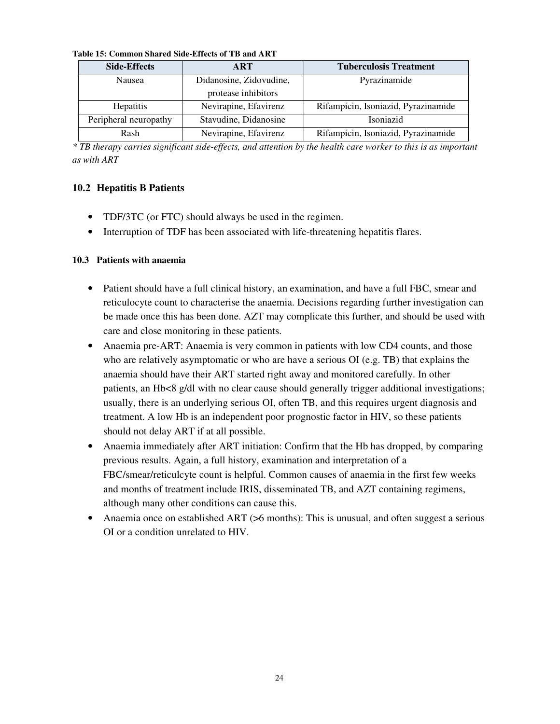| Table 15: Common Shared Side-Effects of TB and ART |  |
|----------------------------------------------------|--|
|----------------------------------------------------|--|

| <b>Side-Effects</b>   | <b>ART</b>              | <b>Tuberculosis Treatment</b>       |
|-----------------------|-------------------------|-------------------------------------|
| Nausea                | Didanosine, Zidovudine, | Pyrazinamide                        |
|                       | protease inhibitors     |                                     |
| Hepatitis             | Nevirapine, Efavirenz   | Rifampicin, Isoniazid, Pyrazinamide |
| Peripheral neuropathy | Stavudine, Didanosine   | Isoniazid                           |
| Rash                  | Nevirapine, Efavirenz   | Rifampicin, Isoniazid, Pyrazinamide |

*\* TB therapy carries significant side-effects, and attention by the health care worker to this is as important as with ART* 

### **10.2 Hepatitis B Patients**

- TDF/3TC (or FTC) should always be used in the regimen.
- Interruption of TDF has been associated with life-threatening hepatitis flares.

#### **10.3 Patients with anaemia**

- Patient should have a full clinical history, an examination, and have a full FBC, smear and reticulocyte count to characterise the anaemia. Decisions regarding further investigation can be made once this has been done. AZT may complicate this further, and should be used with care and close monitoring in these patients.
- Anaemia pre-ART: Anaemia is very common in patients with low CD4 counts, and those who are relatively asymptomatic or who are have a serious OI (e.g. TB) that explains the anaemia should have their ART started right away and monitored carefully. In other patients, an Hb<8 g/dl with no clear cause should generally trigger additional investigations; usually, there is an underlying serious OI, often TB, and this requires urgent diagnosis and treatment. A low Hb is an independent poor prognostic factor in HIV, so these patients should not delay ART if at all possible.
- Anaemia immediately after ART initiation: Confirm that the Hb has dropped, by comparing previous results. Again, a full history, examination and interpretation of a FBC/smear/reticulcyte count is helpful. Common causes of anaemia in the first few weeks and months of treatment include IRIS, disseminated TB, and AZT containing regimens, although many other conditions can cause this.
- Anaemia once on established ART (>6 months): This is unusual, and often suggest a serious OI or a condition unrelated to HIV.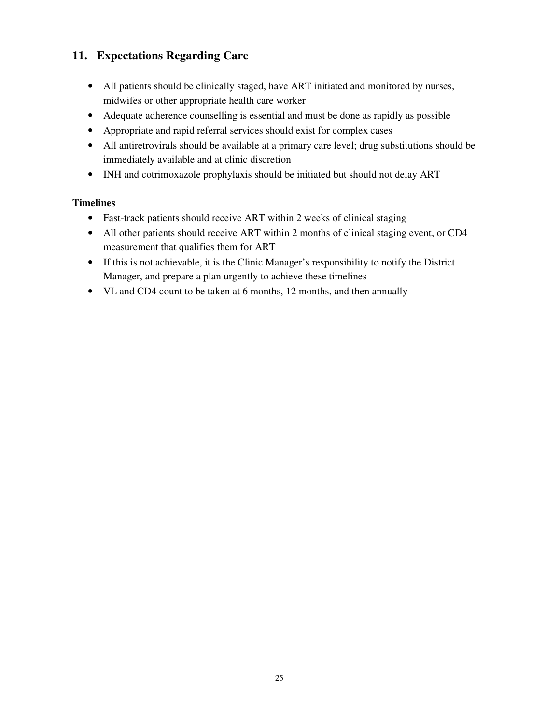# **11. Expectations Regarding Care**

- All patients should be clinically staged, have ART initiated and monitored by nurses, midwifes or other appropriate health care worker
- Adequate adherence counselling is essential and must be done as rapidly as possible
- Appropriate and rapid referral services should exist for complex cases
- All antiretrovirals should be available at a primary care level; drug substitutions should be immediately available and at clinic discretion
- INH and cotrimoxazole prophylaxis should be initiated but should not delay ART

# **Timelines**

- Fast-track patients should receive ART within 2 weeks of clinical staging
- All other patients should receive ART within 2 months of clinical staging event, or CD4 measurement that qualifies them for ART
- If this is not achievable, it is the Clinic Manager's responsibility to notify the District Manager, and prepare a plan urgently to achieve these timelines
- VL and CD4 count to be taken at 6 months, 12 months, and then annually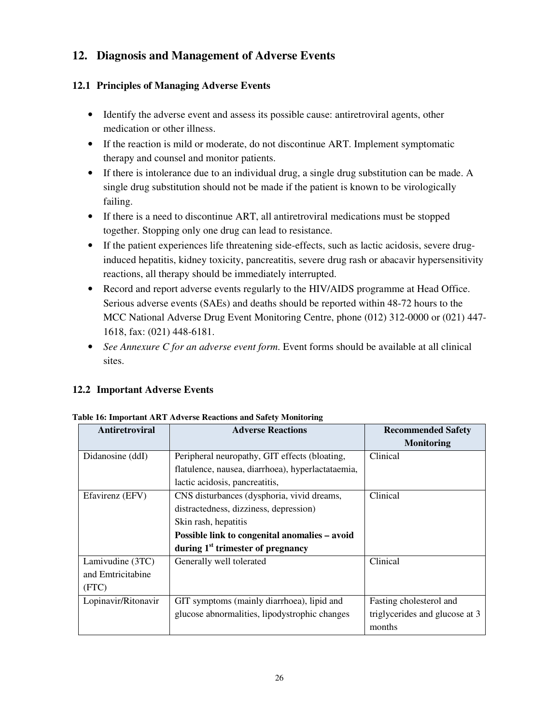# **12. Diagnosis and Management of Adverse Events**

# **12.1 Principles of Managing Adverse Events**

- Identify the adverse event and assess its possible cause: antiretroviral agents, other medication or other illness.
- If the reaction is mild or moderate, do not discontinue ART. Implement symptomatic therapy and counsel and monitor patients.
- If there is intolerance due to an individual drug, a single drug substitution can be made. A single drug substitution should not be made if the patient is known to be virologically failing.
- If there is a need to discontinue ART, all antiretroviral medications must be stopped together. Stopping only one drug can lead to resistance.
- If the patient experiences life threatening side-effects, such as lactic acidosis, severe druginduced hepatitis, kidney toxicity, pancreatitis, severe drug rash or abacavir hypersensitivity reactions, all therapy should be immediately interrupted.
- Record and report adverse events regularly to the HIV/AIDS programme at Head Office. Serious adverse events (SAEs) and deaths should be reported within 48-72 hours to the MCC National Adverse Drug Event Monitoring Centre, phone (012) 312-0000 or (021) 447- 1618, fax: (021) 448-6181.
- *See Annexure C for an adverse event form*. Event forms should be available at all clinical sites.

# **12.2 Important Adverse Events**

| Antiretroviral      | <b>Adverse Reactions</b>                          | <b>Recommended Safety</b>                |
|---------------------|---------------------------------------------------|------------------------------------------|
|                     |                                                   | <b>Monitoring</b>                        |
| Didanosine (ddI)    | Peripheral neuropathy, GIT effects (bloating,     | Clinical                                 |
|                     | flatulence, nausea, diarrhoea), hyperlactataemia, |                                          |
|                     | lactic acidosis, pancreatitis,                    |                                          |
| Efavirenz (EFV)     | CNS disturbances (dysphoria, vivid dreams,        | Clinical                                 |
|                     | distractedness, dizziness, depression)            |                                          |
|                     | Skin rash, hepatitis                              |                                          |
|                     | Possible link to congenital anomalies – avoid     |                                          |
|                     | during $1st$ trimester of pregnancy               |                                          |
| Lamivudine (3TC)    | Generally well tolerated                          | Clinical                                 |
| and Emtricitabine   |                                                   |                                          |
| (FTC)               |                                                   |                                          |
| Lopinavir/Ritonavir | GIT symptoms (mainly diarrhoea), lipid and        | Fasting cholesterol and                  |
|                     | glucose abnormalities, lipodystrophic changes     | triglycerides and glucose at 3<br>months |

#### **Table 16: Important ART Adverse Reactions and Safety Monitoring**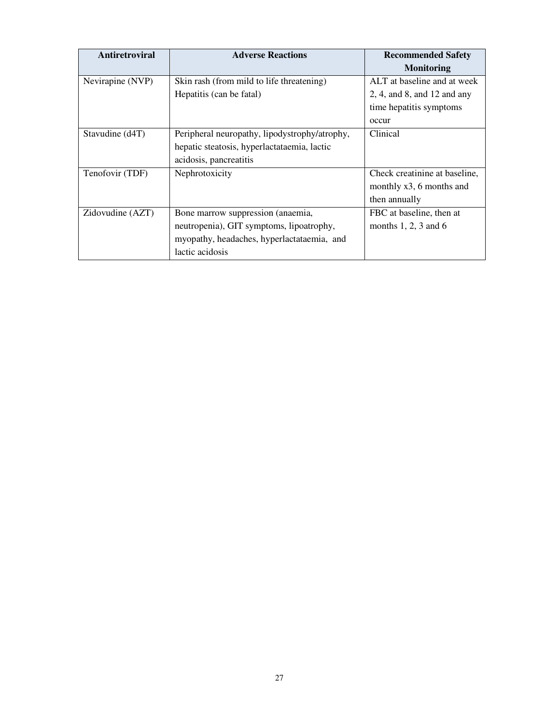| Antiretroviral   | <b>Adverse Reactions</b>                      | <b>Recommended Safety</b>         |
|------------------|-----------------------------------------------|-----------------------------------|
|                  |                                               | <b>Monitoring</b>                 |
| Nevirapine (NVP) | Skin rash (from mild to life threatening)     | ALT at baseline and at week       |
|                  | Hepatitis (can be fatal)                      | $2, 4,$ and $8,$ and $12$ and any |
|                  |                                               | time hepatitis symptoms           |
|                  |                                               | occur                             |
| Stavudine (d4T)  | Peripheral neuropathy, lipodystrophy/atrophy, | Clinical                          |
|                  | hepatic steatosis, hyperlactataemia, lactic   |                                   |
|                  | acidosis, pancreatitis                        |                                   |
| Tenofovir (TDF)  | Nephrotoxicity                                | Check creatinine at baseline,     |
|                  |                                               | monthly $x3$ , 6 months and       |
|                  |                                               | then annually                     |
| Zidovudine (AZT) | Bone marrow suppression (anaemia,             | FBC at baseline, then at          |
|                  | neutropenia), GIT symptoms, lipoatrophy,      | months $1, 2, 3$ and $6$          |
|                  | myopathy, headaches, hyperlactataemia, and    |                                   |
|                  | lactic acidosis                               |                                   |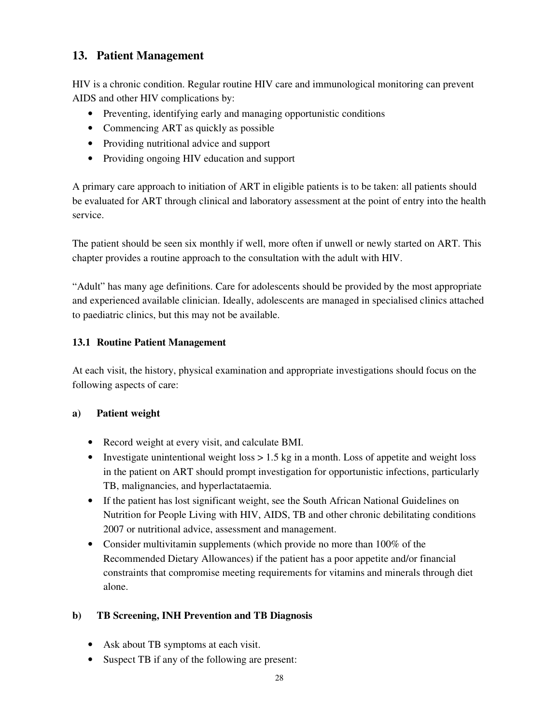# **13. Patient Management**

HIV is a chronic condition. Regular routine HIV care and immunological monitoring can prevent AIDS and other HIV complications by:

- Preventing, identifying early and managing opportunistic conditions
- Commencing ART as quickly as possible
- Providing nutritional advice and support
- Providing ongoing HIV education and support

A primary care approach to initiation of ART in eligible patients is to be taken: all patients should be evaluated for ART through clinical and laboratory assessment at the point of entry into the health service.

The patient should be seen six monthly if well, more often if unwell or newly started on ART. This chapter provides a routine approach to the consultation with the adult with HIV.

"Adult" has many age definitions. Care for adolescents should be provided by the most appropriate and experienced available clinician. Ideally, adolescents are managed in specialised clinics attached to paediatric clinics, but this may not be available.

# **13.1 Routine Patient Management**

At each visit, the history, physical examination and appropriate investigations should focus on the following aspects of care:

### **a) Patient weight**

- Record weight at every visit, and calculate BMI.
- Investigate unintentional weight loss  $> 1.5$  kg in a month. Loss of appetite and weight loss in the patient on ART should prompt investigation for opportunistic infections, particularly TB, malignancies, and hyperlactataemia.
- If the patient has lost significant weight, see the South African National Guidelines on Nutrition for People Living with HIV, AIDS, TB and other chronic debilitating conditions 2007 or nutritional advice, assessment and management.
- Consider multivitamin supplements (which provide no more than 100% of the Recommended Dietary Allowances) if the patient has a poor appetite and/or financial constraints that compromise meeting requirements for vitamins and minerals through diet alone.

# **b) TB Screening, INH Prevention and TB Diagnosis**

- Ask about TB symptoms at each visit.
- Suspect TB if any of the following are present: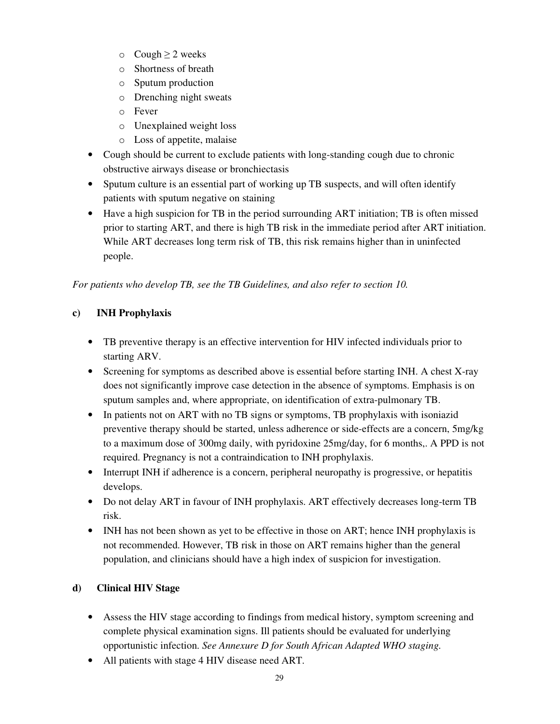- $\circ$  Cough  $\geq$  2 weeks
- o Shortness of breath
- o Sputum production
- o Drenching night sweats
- o Fever
- o Unexplained weight loss
- o Loss of appetite, malaise
- Cough should be current to exclude patients with long-standing cough due to chronic obstructive airways disease or bronchiectasis
- Sputum culture is an essential part of working up TB suspects, and will often identify patients with sputum negative on staining
- Have a high suspicion for TB in the period surrounding ART initiation; TB is often missed prior to starting ART, and there is high TB risk in the immediate period after ART initiation. While ART decreases long term risk of TB, this risk remains higher than in uninfected people.

*For patients who develop TB, see the TB Guidelines, and also refer to section 10.* 

# **c) INH Prophylaxis**

- TB preventive therapy is an effective intervention for HIV infected individuals prior to starting ARV.
- Screening for symptoms as described above is essential before starting INH. A chest X-ray does not significantly improve case detection in the absence of symptoms. Emphasis is on sputum samples and, where appropriate, on identification of extra-pulmonary TB.
- In patients not on ART with no TB signs or symptoms, TB prophylaxis with isoniazid preventive therapy should be started, unless adherence or side-effects are a concern, 5mg/kg to a maximum dose of 300mg daily, with pyridoxine 25mg/day, for 6 months,. A PPD is not required. Pregnancy is not a contraindication to INH prophylaxis.
- Interrupt INH if adherence is a concern, peripheral neuropathy is progressive, or hepatitis develops.
- Do not delay ART in favour of INH prophylaxis. ART effectively decreases long-term TB risk.
- INH has not been shown as yet to be effective in those on ART; hence INH prophylaxis is not recommended. However, TB risk in those on ART remains higher than the general population, and clinicians should have a high index of suspicion for investigation.

# **d) Clinical HIV Stage**

- Assess the HIV stage according to findings from medical history, symptom screening and complete physical examination signs. Ill patients should be evaluated for underlying opportunistic infection. *See Annexure D for South African Adapted WHO staging.*
- All patients with stage 4 HIV disease need ART.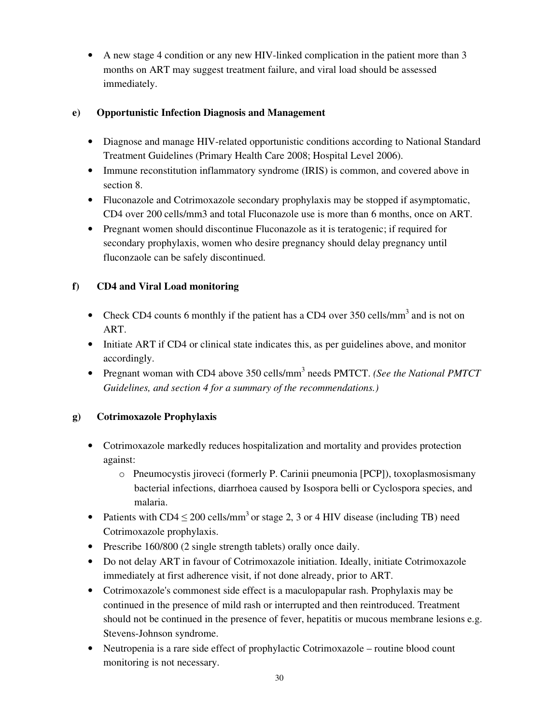• A new stage 4 condition or any new HIV-linked complication in the patient more than 3 months on ART may suggest treatment failure, and viral load should be assessed immediately.

# **e) Opportunistic Infection Diagnosis and Management**

- Diagnose and manage HIV-related opportunistic conditions according to National Standard Treatment Guidelines (Primary Health Care 2008; Hospital Level 2006).
- Immune reconstitution inflammatory syndrome (IRIS) is common, and covered above in section 8.
- Fluconazole and Cotrimoxazole secondary prophylaxis may be stopped if asymptomatic, CD4 over 200 cells/mm3 and total Fluconazole use is more than 6 months, once on ART.
- Pregnant women should discontinue Fluconazole as it is teratogenic; if required for secondary prophylaxis, women who desire pregnancy should delay pregnancy until fluconzaole can be safely discontinued.

# **f) CD4 and Viral Load monitoring**

- Check CD4 counts 6 monthly if the patient has a CD4 over  $350$  cells/mm<sup>3</sup> and is not on ART.
- Initiate ART if CD4 or clinical state indicates this, as per guidelines above, and monitor accordingly.
- Pregnant woman with CD4 above 350 cells/mm<sup>3</sup> needs PMTCT. *(See the National PMTCT*) *Guidelines, and section 4 for a summary of the recommendations.)*

# **g) Cotrimoxazole Prophylaxis**

- Cotrimoxazole markedly reduces hospitalization and mortality and provides protection against:
	- o Pneumocystis jiroveci (formerly P. Carinii pneumonia [PCP]), toxoplasmosismany bacterial infections, diarrhoea caused by Isospora belli or Cyclospora species, and malaria.
- Patients with CD4  $\leq$  200 cells/mm<sup>3</sup> or stage 2, 3 or 4 HIV disease (including TB) need Cotrimoxazole prophylaxis.
- Prescribe 160/800 (2 single strength tablets) orally once daily.
- Do not delay ART in favour of Cotrimoxazole initiation. Ideally, initiate Cotrimoxazole immediately at first adherence visit, if not done already, prior to ART.
- Cotrimoxazole's commonest side effect is a maculopapular rash. Prophylaxis may be continued in the presence of mild rash or interrupted and then reintroduced. Treatment should not be continued in the presence of fever, hepatitis or mucous membrane lesions e.g. Stevens-Johnson syndrome.
- Neutropenia is a rare side effect of prophylactic Cotrimoxazole routine blood count monitoring is not necessary.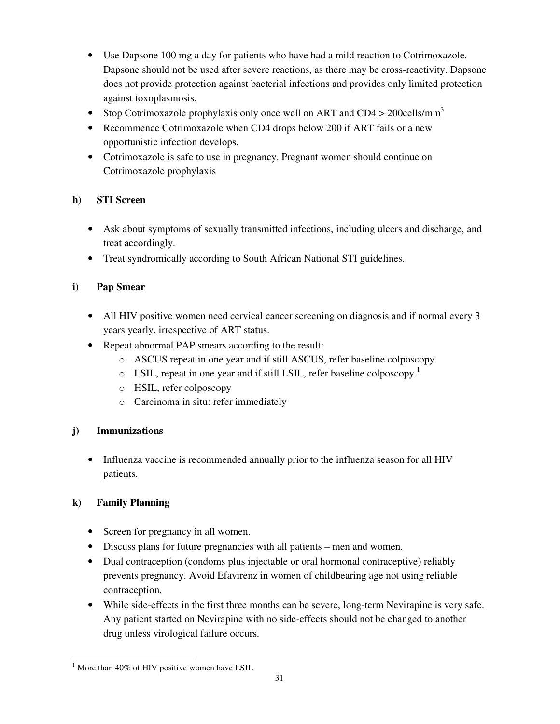- Use Dapsone 100 mg a day for patients who have had a mild reaction to Cotrimoxazole. Dapsone should not be used after severe reactions, as there may be cross-reactivity. Dapsone does not provide protection against bacterial infections and provides only limited protection against toxoplasmosis.
- Stop Cotrimoxazole prophylaxis only once well on ART and CD4 > 200cells/mm<sup>3</sup>
- Recommence Cotrimoxazole when CD4 drops below 200 if ART fails or a new opportunistic infection develops.
- Cotrimoxazole is safe to use in pregnancy. Pregnant women should continue on Cotrimoxazole prophylaxis

# **h) STI Screen**

- Ask about symptoms of sexually transmitted infections, including ulcers and discharge, and treat accordingly.
- Treat syndromically according to South African National STI guidelines.

# **i) Pap Smear**

- All HIV positive women need cervical cancer screening on diagnosis and if normal every 3 years yearly, irrespective of ART status.
- Repeat abnormal PAP smears according to the result:
	- o ASCUS repeat in one year and if still ASCUS, refer baseline colposcopy.
	- $\circ$  LSIL, repeat in one year and if still LSIL, refer baseline colposcopy.<sup>1</sup>
	- o HSIL, refer colposcopy
	- o Carcinoma in situ: refer immediately

# **j) Immunizations**

• Influenza vaccine is recommended annually prior to the influenza season for all HIV patients.

# **k) Family Planning**

- Screen for pregnancy in all women.
- Discuss plans for future pregnancies with all patients men and women.
- Dual contraception (condoms plus injectable or oral hormonal contraceptive) reliably prevents pregnancy. Avoid Efavirenz in women of childbearing age not using reliable contraception.
- While side-effects in the first three months can be severe, long-term Nevirapine is very safe. Any patient started on Nevirapine with no side-effects should not be changed to another drug unless virological failure occurs.

 $\overline{a}$  $<sup>1</sup>$  More than 40% of HIV positive women have LSIL</sup>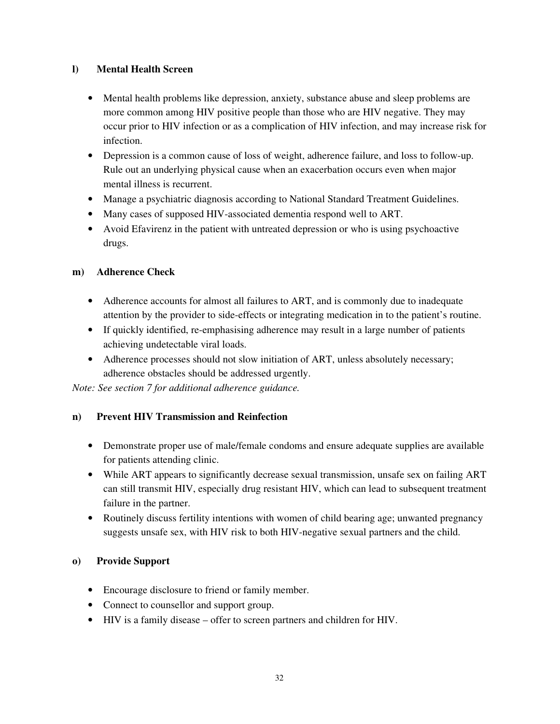### **l) Mental Health Screen**

- Mental health problems like depression, anxiety, substance abuse and sleep problems are more common among HIV positive people than those who are HIV negative. They may occur prior to HIV infection or as a complication of HIV infection, and may increase risk for infection.
- Depression is a common cause of loss of weight, adherence failure, and loss to follow-up. Rule out an underlying physical cause when an exacerbation occurs even when major mental illness is recurrent.
- Manage a psychiatric diagnosis according to National Standard Treatment Guidelines.
- Many cases of supposed HIV-associated dementia respond well to ART.
- Avoid Efavirenz in the patient with untreated depression or who is using psychoactive drugs.

### **m) Adherence Check**

- Adherence accounts for almost all failures to ART, and is commonly due to inadequate attention by the provider to side-effects or integrating medication in to the patient's routine.
- If quickly identified, re-emphasising adherence may result in a large number of patients achieving undetectable viral loads.
- Adherence processes should not slow initiation of ART, unless absolutely necessary; adherence obstacles should be addressed urgently.

*Note: See section 7 for additional adherence guidance.* 

### **n) Prevent HIV Transmission and Reinfection**

- Demonstrate proper use of male/female condoms and ensure adequate supplies are available for patients attending clinic.
- While ART appears to significantly decrease sexual transmission, unsafe sex on failing ART can still transmit HIV, especially drug resistant HIV, which can lead to subsequent treatment failure in the partner.
- Routinely discuss fertility intentions with women of child bearing age; unwanted pregnancy suggests unsafe sex, with HIV risk to both HIV-negative sexual partners and the child.

### **o) Provide Support**

- Encourage disclosure to friend or family member.
- Connect to counsellor and support group.
- HIV is a family disease offer to screen partners and children for HIV.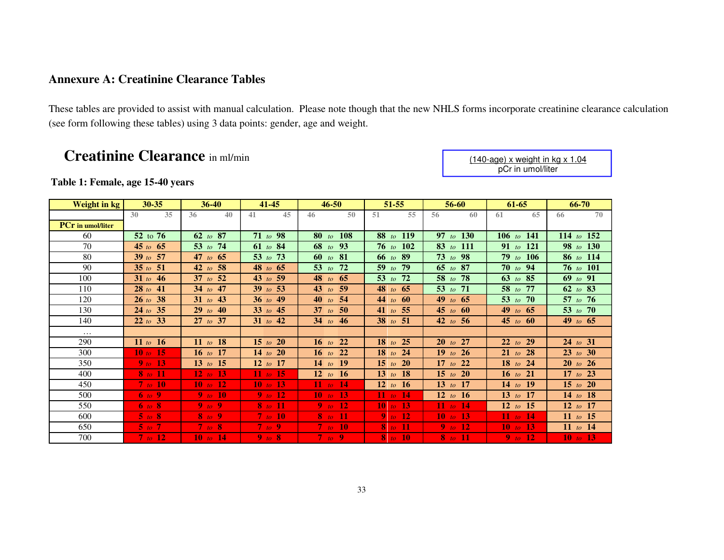# **Annexure A: Creatinine Clearance Tables**

These tables are provided to assist with manual calculation. Please note though that the new NHLS forms incorporate creatinine clearance calculation (see form following these tables) using 3 data points: gender, age and weight.

# **Creatinine Clearance** in ml/min

### **Table 1: Female, age 15-40 years**

| Weight in kg             | 30-35               | $36 - 40$    | $41 - 45$       | $46 - 50$            | $51 - 55$      | 56-60         | $61 - 65$    | 66-70           |  |
|--------------------------|---------------------|--------------|-----------------|----------------------|----------------|---------------|--------------|-----------------|--|
|                          | 35<br>30            | 36<br>40     | 41<br>45        | 50<br>46             | 55<br>51       | 56<br>60      | 65<br>61     | 70<br>66        |  |
| <b>PCr</b> in umol/liter |                     |              |                 |                      |                |               |              |                 |  |
| 60                       | 52 to 76            | $62$ to $87$ | 71 to 98        | 108<br>$80$ to       | 88 to 119      | 97 to 130     | 106 to 141   | 114 to $152$    |  |
| 70                       | 45 to $65$          | 53 to $74$   | 61 to 84        | 68 to 93             | 76 to $102$    | 83 to 111     | 91 to 121    | 98 to 130       |  |
| 80                       | 39 to 57            | 47 to $65$   | 53 to 73        | 60 to $81$           | 66 to 89       | $73$ to 98    | 79 to 106    | 86 to 114       |  |
| 90                       | 35 to $51$          | 42 to 58     | 48 to $65$      | 53 to<br>72          | $59$ to<br>-79 | 65 to 87      | $70$ to 94   | $76$ to $101$   |  |
| 100                      | 31 to $46$          | $37$ to $52$ | 43 to 59        | 48 to 65             | 53 to 72       | 58 to 78      | 63 to $85$   | 69 to 91        |  |
| 110                      | $28$ to $41$        | 34 to 47     | 39 to 53        | 43 to 59             | 48 to $65$     | 53 to $71$    | 58 to 77     | 62 to 83        |  |
| 120                      | $26 \text{ to } 38$ | 31 to 43     | 36 to 49        | 40 to 54             | $44$ to $60$   | 49 to $65$    | 53 to 70     | 57 to 76        |  |
| 130                      | $24 \text{ to } 35$ | $29$ to $40$ | $33$ to $45$    | 37 to 50             | 41 to 55       | 45 to $60$    | 49 to 65     | 53 to 70        |  |
| 140                      | 22 to 33            | $27$ to 37   | 31 to $42$      | 34 to 46             | 38 to 51       | 42 to 56      | 45 to $60$   | 49 to $65$      |  |
| $\cdots$                 |                     |              |                 |                      |                |               |              |                 |  |
| 290                      | 11 <i>to</i> 16     | 11 to 18     | 15 to 20        | <b>22</b><br>$16$ to | $18$ to $25$   | 27<br>$20$ to | 22 to 29     | $24$ to 31      |  |
| 300                      | 10 to 15            | 16 to 17     | 14 to 20        | 16 to 22             | $18$ to<br>24  | 19 to 26      | $21$ to $28$ | 23 to 30        |  |
| 350                      | 9 <sub>to</sub> 13  | 13 to 15     | 12 to 17        | $14$ to $19$         | $15$ to $20$   | 17 to 22      | $18$ to $24$ | $20$ to $26$    |  |
| 400                      | $8$ to 11           | 12 to 13     | 11 <i>to</i> 15 | 12 <i>to</i> 16      | 13 to 18       | 15 to 20      | 16 to 21     | 17 to $23$      |  |
| 450                      | $7$ to $10$         | $10$ to $12$ | 10 to 13        | 11 to 14             | 12 to 16       | 13 to 17      | 14 to 19     | $15$ to $20$    |  |
| 500                      | 6 to 9              | $9$ to $10$  | $9$ to 12       | 10 to 13             | 11 to 14       | 12 to 16      | 13 to 17     | 14 to 18        |  |
| 550                      | 6 to 8              | $9$ to $9$   | $8$ to $11$     | $9$ to $12$          | 10 to 13       | 11 to 14      | 12 to 15     | 12 to 17        |  |
| 600                      | $5$ to $8$          | $8$ to 9     | $7$ to $10$     | $8$ to $11$          | 9 to 12        | 10 to 13      | 11 to 14     | 11 <i>to</i> 15 |  |
| 650                      | $5$ to $7$          | $7$ to $8$   | $7$ to 9        | $7$ to 10            | $8$ to 11      | $9$ to $12$   | $10$ to 13   | 11 to 14        |  |
| 700                      | $7$ to $12$         | $10$ to $14$ | $9$ to $8$      | $7$ to 9             | $8$ to 10      | $8$ to $11$   | $9$ to $12$  | $10$ to $13$    |  |

(140-age) x weight in kg x 1.04 pCr in umol/liter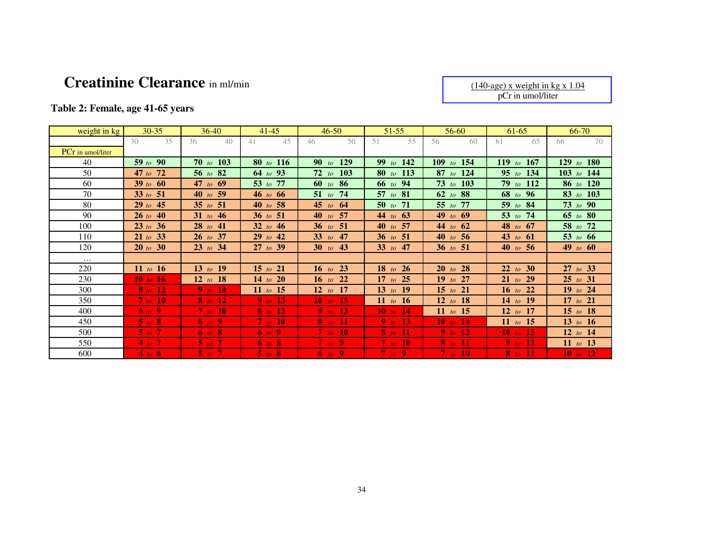# **Creatinine Clearance** in ml/min

(140-age) x weight in kg x 1.04 pCr in umol/liter

# **Table 2: Female, age 41-65 years**

| weight in kg      | $30 - 35$           | $36-40$      | $41 - 45$    | $46 - 50$                                  | $51 - 55$            | 56-60                | 61-65         | 66-70           |
|-------------------|---------------------|--------------|--------------|--------------------------------------------|----------------------|----------------------|---------------|-----------------|
|                   | 35<br>30            | 40<br>36     | 45<br>41     | $50^{\circ}$<br>46                         | 55<br>51             | 60<br>56             | 65<br>61      | 70<br>66        |
| PCr in umol/liter |                     |              |              |                                            |                      |                      |               |                 |
| 40                | 59 to 90            | 70 to 103    | $80$ to 116  | 129<br>90 <sub>to</sub>                    | 99 to $142$          | $109$ to<br>154      | 119 to 167    | to $180$<br>129 |
| 50                | 47 to $72$          | 56 to $82$   | 64 to 93     | 103<br>$72$ to                             | 80 to 113            | $87$ to<br>-124      | 95 to 134     | 103 to 144      |
| 60                | 39 to $60$          | 47 to $69$   | 53 to 77     | $60$ to $86$                               | 66 to 94             | $73$ to $103$        | $79$ to $112$ | 86 to 120       |
| 70                | 33 to $51$          | 40 to 59     | 46 to 66     | $51$ to<br>74                              | 57 to $81$           | 62 to 88             | 68 to 96      | $83$ to 103     |
| 80                | $29$ to $45$        | 35 to 51     | 40 to 58     | 45 to $64$                                 | 71<br>$50$ to        | 77<br>$55$ to        | 59 to 84      | $73$ to $90$    |
| 90                | $26 \text{ to } 40$ | 31 to 46     | 36 to 51     | 57<br>$40$ to                              | 44 to $63$           | 49 to 69             | 53 to 74      | 65 to 80        |
| 100               | 23 to 36            | $28$ to $41$ | 32 to $46$   | 51<br>$36$ to                              | 57<br>$40$ to        | 44 to<br>-62         | 48 to 67      | 58 to 72        |
| 110               | 21 to 33            | $26$ to 37   | $29$ to $42$ | 33 to $47$                                 | 36 to 51             | 40 to 56             | 43 to $61$    | 53 to $66$      |
| 120               | 20 to 30            | $23$ to 34   | $27$ to 39   | 30 to 43                                   | 33 to $47$           | 36 to 51             | 40 to 56      | 49 to $60$      |
| $\cdots$          |                     |              |              |                                            |                      |                      |               |                 |
| 220               | 11 <i>to</i> 16     | 13 to 19     | 15 to 21     | 16 to 23                                   | $18$ to<br><b>26</b> | $20$ to<br>-28       | 22 to 30      | $27$ to 33      |
| 230               | $10$ to $16$        | 12 to 18     | 14 to 20     | 16 to 22                                   | 17 to 25             | $19$ to<br>- 27      | $21$ to $29$  | 25 to 31        |
| 300               | $8$ to $12$         | 9 to $14$    | $11$ to $15$ | 12 to<br>17                                | $13$ to<br><b>19</b> | $15$ to<br><b>21</b> | 16 to 22      | 19 to 24        |
| 350               | 7 to 10             | $8$ to 12    | 9 to 13      | 10 to 15                                   | 11 <i>to</i> 16      | 12 to 18             | 14 to 19      | 17 to $21$      |
| 400               | $\overline{6}$ to 9 | $7$ to $10$  | $8$ to 12    | 9 to 13                                    | $10$ to $14$         | 11 <i>to</i> 15      | 12 to 17      | 15 to 18        |
| 450               | $5$ to $8$          | 6 to 9       | $7$ to $10$  | $8$ to 11                                  | 9 to 13              | 10 to 14             | 11 to 15      | 13 to 16        |
| 500               | $5$ to $7$          | 6 to 8       | 6 to 9       | $7$ to $10$                                | $8$ to $11$          | $9$ to 12            | 10 to 13      | 12 to 14        |
| 550               | 4 to $7$            | $5$ to $7$   | 6 to 8       | $7$ to 9                                   | $7$ to $10$          | $8$ to $11$          | 9 to $12$     | 11 <i>to</i> 13 |
| 600               | 4 to 6              | $5$ to $7$   | $5$ to $8$   | $\begin{bmatrix} 6 & to & 9 \end{bmatrix}$ | $7$ to 9             | $7$ to $10$          | $8$ to $11$   | 10 to 12        |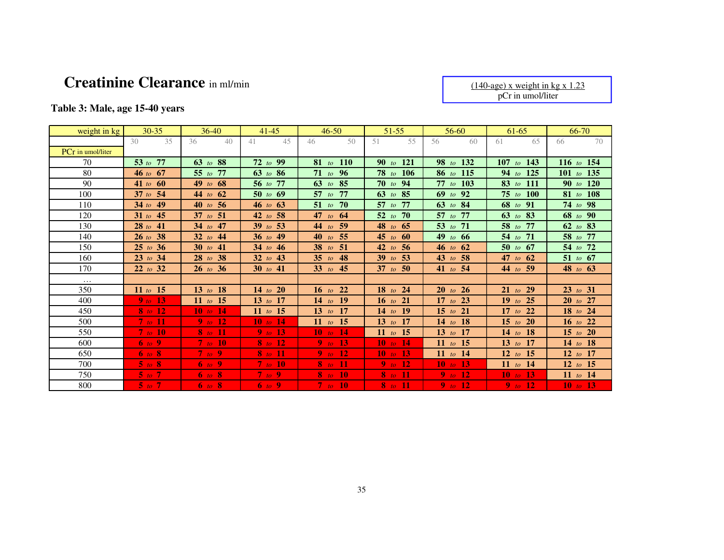# **Creatinine Clearance** in ml/min

(140-age) x weight in kg x 1.23 pCr in umol/liter

# **Table 3: Male, age 15-40 years**

| weight in kg             | $30 - 35$           | $36-40$             | $41 - 45$       | $46 - 50$             | $51 - 55$                      | $56-60$                       | $61-65$         | 66-70        |
|--------------------------|---------------------|---------------------|-----------------|-----------------------|--------------------------------|-------------------------------|-----------------|--------------|
|                          | 35<br>30            | 36<br>40            | 41<br>45        | $50^{\circ}$<br>46    | 51<br>55                       | 56<br>60                      | 65<br>61        | 70<br>66     |
| <b>PCr</b> in umol/liter |                     |                     |                 |                       |                                |                               |                 |              |
| 70                       | 53 to $77$          | 63 to 88            | $72$ to 99      | $81$ to<br><b>110</b> | <b>121</b><br>90 <sub>to</sub> | 132<br>$98$ to                | 107<br>to $143$ | 116 to 154   |
| 80                       | $46 \text{ to } 67$ | 55 to 77            | $63$ to 86      | 71 to $96$            | $78$ to $106$                  | 86 to 115                     | 94 to 125       | 101 to 135   |
| 90                       | 41 to $60$          | 49 to $68$          | 56 to 77        | 63 to 85              | 70 to 94                       | 77 to 103                     | 83 to 111       | 90 to 120    |
| 100                      | $37$ to $54$        | 44 to $62$          | $50$ to $69$    | 57 to 77              | $63$ to $85$                   | $69$ to $92$                  | 75 to 100       | 81 to 108    |
| 110                      | $34$ to 49          | 40 to 56            | 46 to 63        | 51 to 70              | -77<br>$57$ to                 | 63 to $84$                    | 68 to 91        | 74 to 98     |
| 120                      | 31 to $45$          | 37 to $51$          | 42 to 58        | 47 to $64$            | -70<br>$52$ to                 | 57 to 77                      | 63 to 83        | 68 to 90     |
| 130                      | 28 to 41            | 34 to 47            | 39 to 53        | $44$ to<br>59         | 48 to $65$                     | 53 to 71                      | 58 to 77        | 62 to 83     |
| 140                      | 26 to 38            | 32 to $44$          | 36 to 49        | 55<br>$40$ to         | 45 to $60$                     | 49 to $66$                    | 54 to 71        | 58 to 77     |
| 150                      | 25 to 36            | 30 to $41$          | 34 to 46        | $38$ to<br>51         | - 56<br>$42\text{ to}$         | 46 to 62                      | 50 to $67$      | 54 to 72     |
| 160                      | $23$ to $34$        | $28$ to $38$        | 32 to 43        | $35$ to<br>48         | 53<br>$39$ to                  | 43 to 58                      | 47 to $62$      | 51 to $67$   |
| 170                      | 22 to 32            | $26 \text{ to } 36$ | 30 to 41        | $33$ to<br>45         | 37 to 50                       | 41 to 54                      | 44 to 59        | 48 to 63     |
| $\cdots$                 |                     |                     |                 |                       |                                |                               |                 |              |
| 350                      | 11 to $15$          | 13 to 18            | 14 to 20        | 22<br>$16$ to         | $18$ to<br>24                  | 20 <sub>to</sub><br><b>26</b> | $21$ to $29$    | $23$ to $31$ |
| 400                      | $9$ to 13           | 11 to 15            | 13 to 17        | 14 to 19              | 16 to 21                       | 17 to 23                      | 19 to 25        | $20$ to $27$ |
| 450                      | $8$ to 12           | 10 to $14$          | 11 <i>to</i> 15 | 13 to 17              | 14 to 19                       | 15 to 21                      | 17 to 22        | 18 to 24     |
| 500                      | $7$ to $11$         | $9$ to 12           | $10$ to $14$    | 11 <i>to</i> 15       | 13 to 17                       | 14 to 18                      | 15 to 20        | 16 to 22     |
| 550                      | $7$ to $10$         | 8 to 11             | $9$ to 13       | 10 to 14              | 11 <i>to</i> 15                | 13 to 17                      | 14 to 18        | 15 to 20     |
| 600                      | 6 to 9              | $7$ to $10$         | 8 to 12         | 9 to 13               | 10 to 14                       | 11 <i>to</i> 15               | 13 to 17        | 14 to 18     |
| 650                      | $6$ to $8$          | $7$ to 9            | $8$ to 11       | 9 to 12               | 10 to 13                       | 11 to 14                      | 12 to 15        | 12 to 17     |
| 700                      | $5$ to $8$          | $6$ to 9            | $7$ to 10       | $8$ to $11$           | 9 to 12                        | 10 to 13                      | 11 to 14        | 12 to 15     |
| 750                      | $5$ to $7$          | $6$ to $8$          | $7$ to 9        | $8$ to 10             | $8$ to $11$                    | $9$ to 12                     | 10 to 13        | 11 to 14     |
| 800                      | $5$ to $7$          | 6 to 8              | 6 to 9          | $7$ to $10$           | $8$ to $11$                    | $9$ to $12$                   | $9$ to $12$     | 10 to 13     |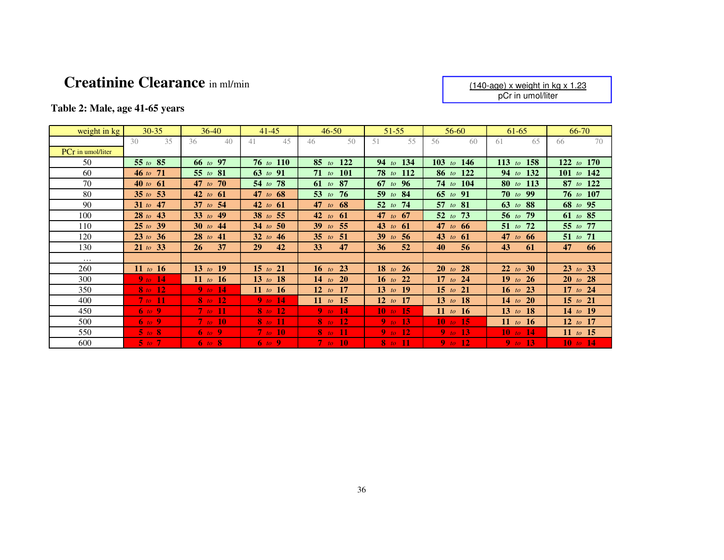# **Creatinine Clearance** in ml/min

(140-age) x weight in kg x 1.23 pCr in umol/liter

# **Table 2: Male, age 41-65 years**

| weight in kg             | $30 - 35$   | $36-40$                          | $41 - 45$       | $46 - 50$             | 51-55                | 56-60              | 61-65           | 66-70           |
|--------------------------|-------------|----------------------------------|-----------------|-----------------------|----------------------|--------------------|-----------------|-----------------|
|                          | 35<br>30    | 36<br>40                         | 45<br>41        | $50^{\circ}$<br>46    | 51<br>55             | 60<br>56           | 65<br>61        | 70<br>66        |
| <b>PCr</b> in umol/liter |             |                                  |                 |                       |                      |                    |                 |                 |
| 50                       | 55 to 85    | 66 to 97                         | 76 to 110       | $85$ to<br><b>122</b> | 94 to 134            | 103 to 146         | 113 to 158      | 122<br>to $170$ |
| 60                       | 46 to $71$  | 55 to $81$                       | 63 to 91        | $71$ to<br><b>101</b> | 78 to $112$          | 86 to 122          | 94 to 132       | 101 to 142      |
| 70                       | 40 to $61$  | 47 to 70                         | 54 to 78        | 87<br>$61$ to         | 67 to 96             | 74 to 104          | 80 to 113       | $87$ to $122$   |
| 80                       | 35 to 53    | 42 to $61$                       | 47 to $68$      | 53 $to$<br>76         | $59$ to<br>-84       | $65$ to<br>-91     | <b>70</b> to 99 | 76 to 107       |
| 90                       | 31 to $47$  | 37 to $54$                       | 42 to $61$      | 47 to $68$            | 74<br>$52\text{ to}$ | 57 to $81$         | 63 to 88        | 68 to 95        |
| 100                      | $28$ to 43  | 33 to $49$                       | 38 to 55        | $42$ to<br>-61        | 47 to $67$           | $52$ to<br>73      | 56 to 79        | 61 to 85        |
| 110                      | 25 to 39    | 30 to $44$                       | 34 to 50        | $39$ to<br>55         | 43 to $61$           | 47 to $66$         | 51 to 72        | 55 to 77        |
| 120                      | 23 to 36    | $28$ to $41$                     | 32 to $46$      | $35$ to<br>-51        | $39$ to<br>-56       | 43 to $61$         | 47<br>to $66$   | 51 to 71        |
| 130                      | 21 to 33    | 37<br>26                         | 42<br><b>29</b> | 47<br>33              | 52<br>36             | 56<br>40           | 43<br>61        | 47<br>66        |
| $\cdots$                 |             |                                  |                 |                       |                      |                    |                 |                 |
| 260                      | 11 to 16    | 13 to 19                         | 15 to 21        | 16 to 23              | $18$ to<br><b>26</b> | 20~to<br><b>28</b> | 22 to 30        | $23$ to 33      |
| 300                      | $9$ to 14   | 11 <i>to</i> 16                  | 13 to 18        | <b>20</b><br>$14$ to  | 22<br>$16$ to        | 17 to 24           | 19 to 26        | $20$ to $28$    |
| 350                      | $8$ to 12   | 9 to 14                          | 11 <i>to</i> 16 | 12 to 17              | 13 to 19             | 15 to 21           | 16 to 23        | $17$ to $24$    |
| 400                      | $7$ to $11$ | $8$ to 12                        | 9 to 14         | 11 <i>to</i> 15       | $12 \text{ to } 17$  | 13 to 18           | 14 to 20        | $15$ to $21$    |
| 450                      | 6 to 9      | 7 to $11$                        | $8$ to 12       | 9 to 14               | 10 to 15             | 11 <i>to</i> 16    | 13 to 18        | 14 to 19        |
| 500                      | 6 to 9      | $7$ to $10$                      | <b>8</b> to 11  | $8$ to 12             | 9 to $13$            | 10 to 15           | 11 <i>to</i> 16 | 12 to 17        |
| 550                      | $5$ to $8$  | $\overline{6}$ to $\overline{9}$ | $7$ to $10$     | $8$ to 11             | 9 to 12              | <b>9</b> to 13     | 10 to 14        | 11 to 15        |
| 600                      | $5$ to $7$  | 6 to 8                           | 6 to 9          | 7 to 10               | $8$ to $11$          | 9 to 12            | 9 to 13         | 10 to 14        |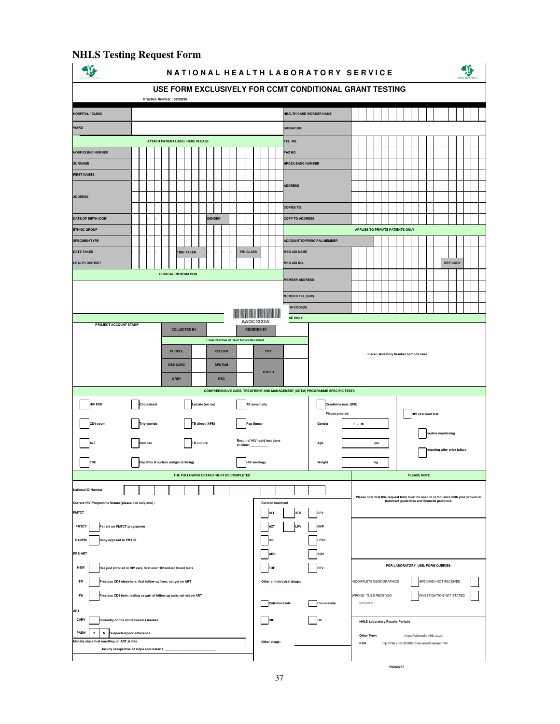#### **NHLS Testing Request Form**   $\mathbf{v}$ **NATIONAL HEALTH LABORATORY SERVICE USE FORM EXCLUSIVELY FOR CCMT CONDITIONAL GRANT TESTING PATIENT Practice Number : 5200296 HOSPITAL / CLINIC HEALTH CARE WORKER NAME WARD SIGNATURE TEL. NO. ATTACH PATIENT LABEL HERE PLEASE HOSP/CLINIC NUMBER FAX NO. SURNAME HPCSA/SANC NUMBER FIRST NAMES ADDRESS ADDRESS COPIES TO COPY TO ADDRESS DATE OF BIRTH (DOB) GENDER** D D M M Y Y Y Y **ETHNIC GROUP APPLIES TO PRIVATE PATIENTS ONLY SPECIMEN TYPE ACCOUNT TO/PRINCIPAL MEMBER**  $\mathbf{1}$ **DATE TAKEN MED AID NAMETIME TAKEN FIN CLASS HEALTH DISTRICT MED AID NO. DEP CODE CLINICAL INFORMATION MEMBER ADDRESS MEMBER TEL (H/W) ICD10 CODE(S) FOR LABORATORY** SEPTEMBER **PROJECT ACCOUNT STAMP COLLECTED BY RECEIVED BY Exter Number of Test Tubes Re PURPLE YELLOW PPT Place Laboratory Number barcode Here DBS CARD SPUTUM OTHER GREY RED COMPREHENSIVE CARE, TREATMENT AND MANAGEMENT (CCTM) PROGRAMME SPECIFIC TESTS HIV PCR** Cholesterol Cholesterol Lactate (on ice) **TB** sensitivity **Creatinine (est. GFR) Please provide: HIV viral load test: CD4 count Triglyceride TB direct (AFB) Pap Smear Gender f / m routine monitoring** ALT Sulucose TB culture Result of HIV rapid test done Age Assembly the Strong of the Strong of the Strong of the Strong of the Strong of the Strong of the Strong of the Strong of the Strong of the Strong of the Strong of t **FBC** Hepatitis B surface antigen (HBsAg) **HIV serology** Weight Weight kg **THE FOLLOWING DETAILS MUST BE COMPLETED PLEASE NOTE National ID Num Please note that this request form must be used in compliance with your provincial treatment guidelines and financial protocols. Current HIV Programme Status (please tick only one) : Current treatment d4T** 3TC EFV **PMTCT PATIENT PROGRAMME PATIENT OF PROGRAMME AND RESERVE TO A PATIENT AZT LPV NVP PMTCT Baby exposed to PMTCT ddI LPV/r BABPM ABC PRE-ART FOR LABORATORY USE: FORM QUERIES: NEW Has just enrolled in HIV care, first ever HIV-related blood tests Research 2008 TFI Provided CD4 elsewhere, first follow-up here, not yet on ART INCOMPLETE DEMOGRAPHICS SPECIMEN NOT RECEIVED INCOMPLETE DEMOGRAPHICS** SPECIMEN NOT RECEIVED

**Provis CD4 here, testing as part of follow-up care, not yet on ART** WRONG TUBE RECEIVED **INVESTIGATION NOT STATED** 

**Cotrimoxazole** Fluconazole SPECIFY :

**Other drugs: KZN:** http://196.7.68.30:8080/trakcarelab/default.htm

**Other Prov:** https://labresults.nhls.ac.za

**retesting after prior failure**

 $\mathcal{L}$ 

€

**P02A0237**

37

**Currently on the antiretrovirals marked** and anticomputer of the Currently on the AMES Laboratory Results Portal/s

**Y N Suspected poor adherence PADH**

**Months since first enrolling on ART at this** 

facility irrespective of stops and restarts:

**ART**

**CARV**

**FU**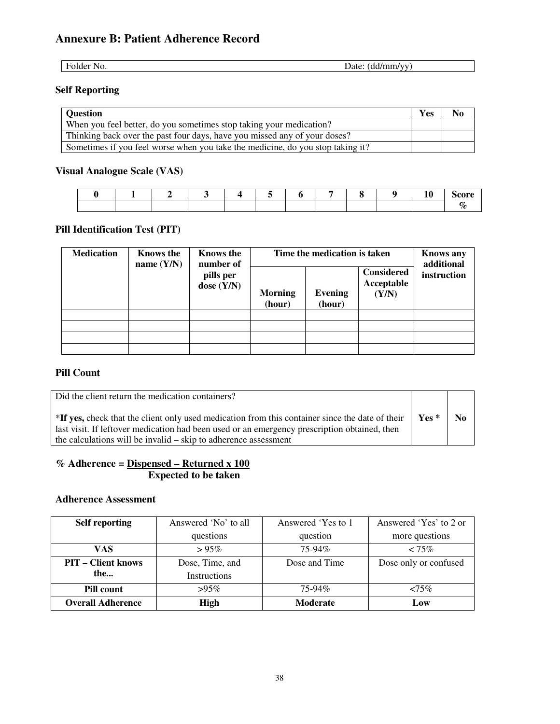# **Annexure B: Patient Adherence Record**

Folder No. Date: (dd/mm/yy)

# **Self Reporting**

| <b>Question</b>                                                                | <b>Yes</b> | No |
|--------------------------------------------------------------------------------|------------|----|
| When you feel better, do you sometimes stop taking your medication?            |            |    |
| Thinking back over the past four days, have you missed any of your doses?      |            |    |
| Sometimes if you feel worse when you take the medicine, do you stop taking it? |            |    |

# **Visual Analogue Scale (VAS)**

# **Pill Identification Test (PIT)**

| <b>Medication</b> | <b>Knows the</b><br>name $(Y/N)$ | Knows the<br>number of    | Time the medication is taken | <b>Knows any</b><br>additional |                                          |             |
|-------------------|----------------------------------|---------------------------|------------------------------|--------------------------------|------------------------------------------|-------------|
|                   |                                  | pills per<br>dose $(Y/N)$ | <b>Morning</b><br>(hour)     | <b>Evening</b><br>(hour)       | <b>Considered</b><br>Acceptable<br>(Y/N) | instruction |
|                   |                                  |                           |                              |                                |                                          |             |
|                   |                                  |                           |                              |                                |                                          |             |
|                   |                                  |                           |                              |                                |                                          |             |
|                   |                                  |                           |                              |                                |                                          |             |

### **Pill Count**

| Did the client return the medication containers?                                                                                                                                                                                                                   |        |                |
|--------------------------------------------------------------------------------------------------------------------------------------------------------------------------------------------------------------------------------------------------------------------|--------|----------------|
| *If yes, check that the client only used medication from this container since the date of their<br>last visit. If leftover medication had been used or an emergency prescription obtained, then<br>the calculations will be invalid – skip to adherence assessment | $Yes*$ | N <sub>0</sub> |

### **% Adherence = Dispensed – Returned x 100 Expected to be taken**

#### **Adherence Assessment**

| <b>Self reporting</b>     | Answered 'No' to all | Answered 'Yes to 1 | Answered 'Yes' to 2 or |
|---------------------------|----------------------|--------------------|------------------------|
|                           | questions            | question           | more questions         |
| VAS                       | >95%                 | $75-94%$           | $< 75\%$               |
| <b>PIT – Client knows</b> | Dose, Time, and      | Dose and Time      | Dose only or confused  |
| the                       | <b>Instructions</b>  |                    |                        |
| Pill count                | $>95\%$              | $75-94\%$          | $<75\%$                |
| <b>Overall Adherence</b>  | <b>High</b>          | <b>Moderate</b>    | Low                    |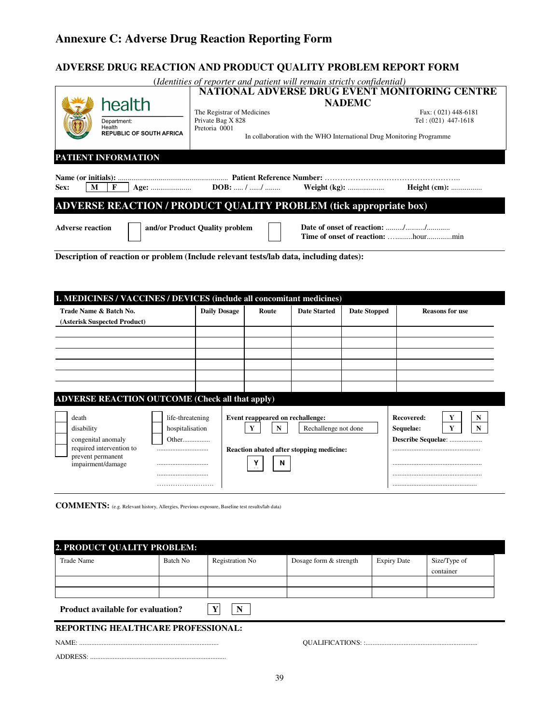# **Annexure C: Adverse Drug Reaction Reporting Form**

# **ADVERSE DRUG REACTION AND PRODUCT QUALITY PROBLEM REPORT FORM**

|           |                                           |                                                                          | (Identities of reporter and patient will remain strictly confidential) |                     |
|-----------|-------------------------------------------|--------------------------------------------------------------------------|------------------------------------------------------------------------|---------------------|
|           |                                           |                                                                          | NATIONAL ADVERSE DRUG EVENT MONITORING CENTRE                          |                     |
|           | health                                    |                                                                          | <b>NADEMC</b>                                                          |                     |
|           |                                           | The Registrar of Medicines                                               |                                                                        | Fax: (021) 448-6181 |
|           | Department:                               | Private Bag X 828                                                        |                                                                        | Tel: (021) 447-1618 |
|           | Health<br><b>REPUBLIC OF SOUTH AFRICA</b> | Pretoria 0001                                                            |                                                                        |                     |
|           |                                           |                                                                          | In collaboration with the WHO International Drug Monitoring Programme  |                     |
|           |                                           |                                                                          |                                                                        |                     |
|           | PATIENT INFORMATION                       |                                                                          |                                                                        |                     |
|           |                                           |                                                                          |                                                                        |                     |
|           |                                           |                                                                          |                                                                        |                     |
|           |                                           |                                                                          |                                                                        |                     |
|           |                                           |                                                                          |                                                                        |                     |
| Sex:<br>M |                                           |                                                                          |                                                                        | <b>Height</b> (cm): |
|           |                                           | <b>ADVERSE REACTION / PRODUCT QUALITY PROBLEM (tick appropriate box)</b> |                                                                        |                     |

**Description of reaction or problem (Include relevant tests/lab data, including dates):** 

| 1. MEDICINES / VACCINES / DEVICES (include all concomitant medicines)                                                                                                       |                     |                                                 |                                                                  |                     |                                                                   |
|-----------------------------------------------------------------------------------------------------------------------------------------------------------------------------|---------------------|-------------------------------------------------|------------------------------------------------------------------|---------------------|-------------------------------------------------------------------|
| Trade Name & Batch No.<br>(Asterisk Suspected Product)                                                                                                                      | <b>Daily Dosage</b> | Route                                           | <b>Date Started</b>                                              | <b>Date Stopped</b> | <b>Reasons for use</b>                                            |
|                                                                                                                                                                             |                     |                                                 |                                                                  |                     |                                                                   |
| <b>ADVERSE REACTION OUTCOME (Check all that apply)</b>                                                                                                                      |                     |                                                 |                                                                  |                     |                                                                   |
| life-threatening<br>death<br>disability<br>hospitalisation<br>congenital anomaly<br>Other<br>required intervention to<br><br>prevent permanent<br>impairment/damage<br><br> |                     | Event reappeared on rechallenge:<br>Y<br>N<br>N | Rechallenge not done<br>Reaction abated after stopping medicine: |                     | Recovered:<br>Y<br>N<br>Y<br>Sequelae:<br>N<br>Describe Sequelae: |
|                                                                                                                                                                             |                     |                                                 |                                                                  |                     |                                                                   |

**COMMENTS:** (e.g. Relevant history, Allergies, Previous exposure, Baseline test results/lab data)

| 2. PRODUCT QUALITY PROBLEM:               |          |                 |                        |                    |                           |  |  |  |  |
|-------------------------------------------|----------|-----------------|------------------------|--------------------|---------------------------|--|--|--|--|
| <b>Trade Name</b>                         | Batch No | Registration No | Dosage form & strength | <b>Expiry Date</b> | Size/Type of<br>container |  |  |  |  |
| <b>Product available for evaluation?</b>  |          |                 |                        |                    |                           |  |  |  |  |
| <b>REPORTING HEALTHCARE PROFESSIONAL:</b> |          |                 |                        |                    |                           |  |  |  |  |
|                                           |          |                 |                        |                    |                           |  |  |  |  |
| ADDRESS:                                  |          |                 |                        |                    |                           |  |  |  |  |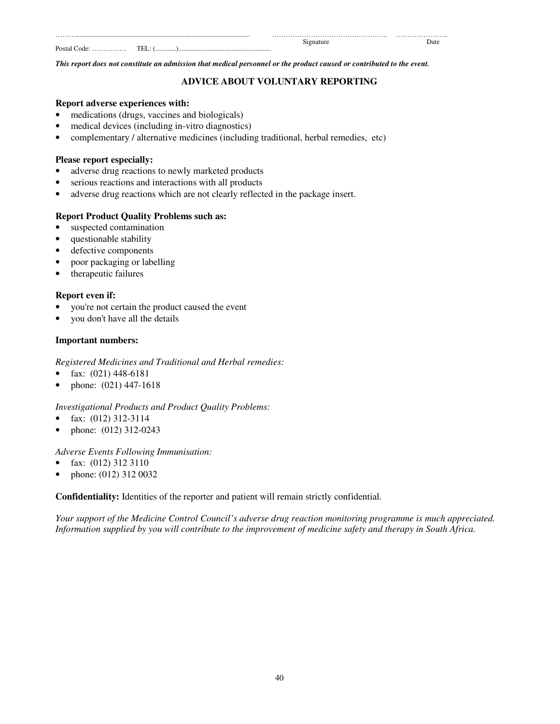| .     |  |      |
|-------|--|------|
|       |  | Jate |
| Posta |  |      |

*This report does not constitute an admission that medical personnel or the product caused or contributed to the event.* 

### **ADVICE ABOUT VOLUNTARY REPORTING**

#### **Report adverse experiences with:**

- medications (drugs, vaccines and biologicals)
- medical devices (including in-vitro diagnostics)
- complementary / alternative medicines (including traditional, herbal remedies, etc)

#### **Please report especially:**

- adverse drug reactions to newly marketed products
- serious reactions and interactions with all products
- adverse drug reactions which are not clearly reflected in the package insert.

#### **Report Product Quality Problems such as:**

- suspected contamination
- questionable stability
- defective components
- poor packaging or labelling
- therapeutic failures

#### **Report even if:**

- you're not certain the product caused the event
- you don't have all the details

#### **Important numbers:**

#### *Registered Medicines and Traditional and Herbal remedies:*

- fax:  $(021)$  448-6181
- phone: (021) 447-1618

#### *Investigational Products and Product Quality Problems:*

- fax: (012) 312-3114
- phone: (012) 312-0243

#### *Adverse Events Following Immunisation:*

- fax: (012) 312 3110
- phone: (012) 312 0032

#### **Confidentiality:** Identities of the reporter and patient will remain strictly confidential.

*Your support of the Medicine Control Council's adverse drug reaction monitoring programme is much appreciated. Information supplied by you will contribute to the improvement of medicine safety and therapy in South Africa.*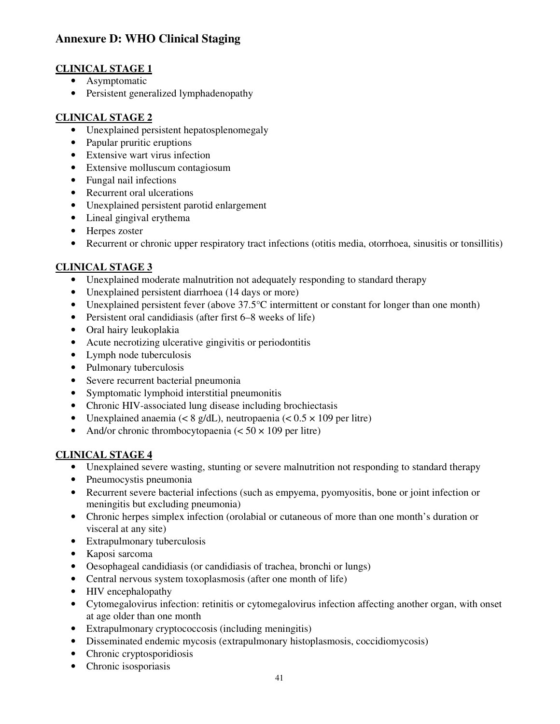# **Annexure D: WHO Clinical Staging**

# **CLINICAL STAGE 1**

- Asymptomatic
- Persistent generalized lymphadenopathy

# **CLINICAL STAGE 2**

- Unexplained persistent hepatosplenomegaly
- Papular pruritic eruptions
- Extensive wart virus infection
- Extensive molluscum contagiosum
- Fungal nail infections
- Recurrent oral ulcerations
- Unexplained persistent parotid enlargement
- Lineal gingival erythema
- Herpes zoster
- Recurrent or chronic upper respiratory tract infections (otitis media, otorrhoea, sinusitis or tonsillitis)

### **CLINICAL STAGE 3**

- Unexplained moderate malnutrition not adequately responding to standard therapy
- Unexplained persistent diarrhoea (14 days or more)
- Unexplained persistent fever (above  $37.5^{\circ}$ C intermittent or constant for longer than one month)
- Persistent oral candidiasis (after first 6–8 weeks of life)
- Oral hairy leukoplakia
- Acute necrotizing ulcerative gingivitis or periodontitis
- Lymph node tuberculosis
- Pulmonary tuberculosis
- Severe recurrent bacterial pneumonia
- Symptomatic lymphoid interstitial pneumonitis
- Chronic HIV-associated lung disease including brochiectasis
- Unexplained anaemia ( $\lt 8$  g/dL), neutropaenia ( $\lt 0.5 \times 109$  per litre)
- And/or chronic thrombocytopaenia  $(< 50 \times 109$  per litre)

### **CLINICAL STAGE 4**

- Unexplained severe wasting, stunting or severe malnutrition not responding to standard therapy
- Pneumocystis pneumonia
- Recurrent severe bacterial infections (such as empyema, pyomyositis, bone or joint infection or meningitis but excluding pneumonia)
- Chronic herpes simplex infection (orolabial or cutaneous of more than one month's duration or visceral at any site)
- Extrapulmonary tuberculosis
- Kaposi sarcoma
- Oesophageal candidiasis (or candidiasis of trachea, bronchi or lungs)
- Central nervous system toxoplasmosis (after one month of life)
- HIV encephalopathy
- Cytomegalovirus infection: retinitis or cytomegalovirus infection affecting another organ, with onset at age older than one month
- Extrapulmonary cryptococcosis (including meningitis)
- Disseminated endemic mycosis (extrapulmonary histoplasmosis, coccidiomycosis)
- Chronic cryptosporidiosis
- Chronic isosporiasis